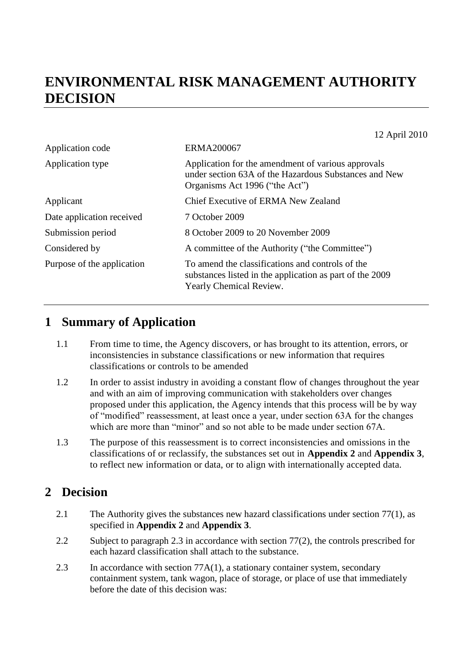# **ENVIRONMENTAL RISK MANAGEMENT AUTHORITY DECISION**

 $12 A<sub>2</sub>$   $12010$ 

| 12 April 2010                                                                                                                                 |
|-----------------------------------------------------------------------------------------------------------------------------------------------|
| <b>ERMA200067</b>                                                                                                                             |
| Application for the amendment of various approvals<br>under section 63A of the Hazardous Substances and New<br>Organisms Act 1996 ("the Act") |
| Chief Executive of ERMA New Zealand                                                                                                           |
| 7 October 2009                                                                                                                                |
| 8 October 2009 to 20 November 2009                                                                                                            |
| A committee of the Authority ("the Committee")                                                                                                |
| To amend the classifications and controls of the<br>substances listed in the application as part of the 2009<br>Yearly Chemical Review.       |
|                                                                                                                                               |

# **1 Summary of Application**

- 1.1 From time to time, the Agency discovers, or has brought to its attention, errors, or inconsistencies in substance classifications or new information that requires classifications or controls to be amended
- 1.2 In order to assist industry in avoiding a constant flow of changes throughout the year and with an aim of improving communication with stakeholders over changes proposed under this application, the Agency intends that this process will be by way of "modified" reassessment, at least once a year, under section 63A for the changes which are more than "minor" and so not able to be made under section 67A.
- 1.3 The purpose of this reassessment is to correct inconsistencies and omissions in the classifications of or reclassify, the substances set out in **Appendix 2** and **Appendix 3**, to reflect new information or data, or to align with internationally accepted data.

## **2 Decision**

- 2.1 The Authority gives the substances new hazard classifications under section 77(1), as specified in **Appendix 2** and **Appendix 3**.
- 2.2 Subject to paragraph 2.3 in accordance with section 77(2), the controls prescribed for each hazard classification shall attach to the substance.
- 2.3 In accordance with section 77A(1), a stationary container system, secondary containment system, tank wagon, place of storage, or place of use that immediately before the date of this decision was: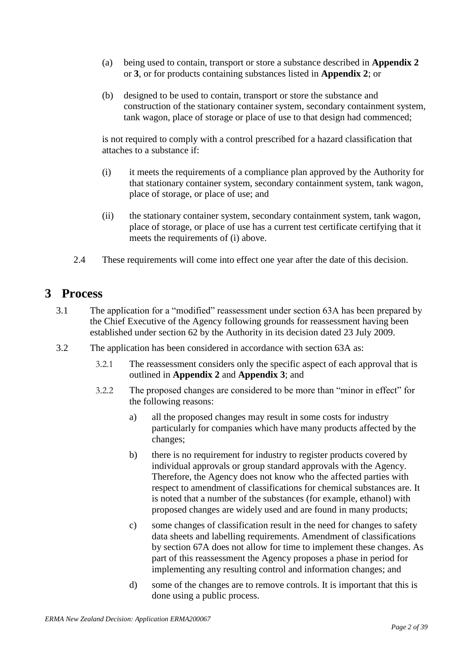- (a) being used to contain, transport or store a substance described in **Appendix 2** or **3**, or for products containing substances listed in **Appendix 2**; or
- (b) designed to be used to contain, transport or store the substance and construction of the stationary container system, secondary containment system, tank wagon, place of storage or place of use to that design had commenced;

is not required to comply with a control prescribed for a hazard classification that attaches to a substance if:

- (i) it meets the requirements of a compliance plan approved by the Authority for that stationary container system, secondary containment system, tank wagon, place of storage, or place of use; and
- (ii) the stationary container system, secondary containment system, tank wagon, place of storage, or place of use has a current test certificate certifying that it meets the requirements of (i) above.
- 2.4 These requirements will come into effect one year after the date of this decision.

## **3 Process**

- 3.1 The application for a "modified" reassessment under section 63A has been prepared by the Chief Executive of the Agency following grounds for reassessment having been established under section 62 by the Authority in its decision dated 23 July 2009.
- 3.2 The application has been considered in accordance with section 63A as:
	- 3.2.1 The reassessment considers only the specific aspect of each approval that is outlined in **Appendix 2** and **Appendix 3**; and
	- 3.2.2 The proposed changes are considered to be more than "minor in effect" for the following reasons:
		- a) all the proposed changes may result in some costs for industry particularly for companies which have many products affected by the changes;
		- b) there is no requirement for industry to register products covered by individual approvals or group standard approvals with the Agency. Therefore, the Agency does not know who the affected parties with respect to amendment of classifications for chemical substances are. It is noted that a number of the substances (for example, ethanol) with proposed changes are widely used and are found in many products;
		- c) some changes of classification result in the need for changes to safety data sheets and labelling requirements. Amendment of classifications by section 67A does not allow for time to implement these changes. As part of this reassessment the Agency proposes a phase in period for implementing any resulting control and information changes; and
		- d) some of the changes are to remove controls. It is important that this is done using a public process.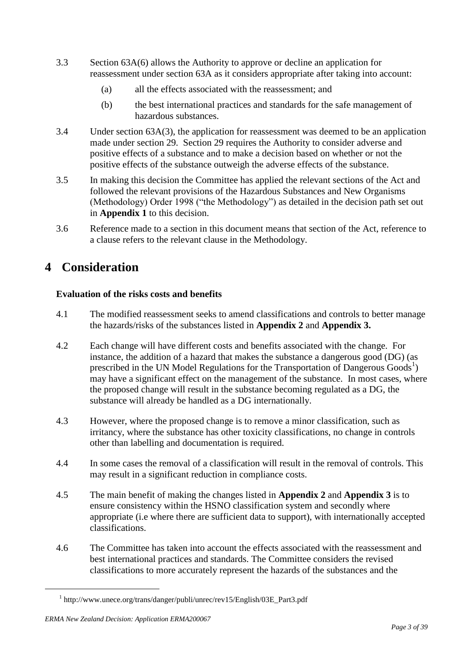- 3.3 Section 63A(6) allows the Authority to approve or decline an application for reassessment under section 63A as it considers appropriate after taking into account:
	- (a) all the effects associated with the reassessment; and
	- (b) the best international practices and standards for the safe management of hazardous substances.
- 3.4 Under section 63A(3), the application for reassessment was deemed to be an application made under section 29. Section 29 requires the Authority to consider adverse and positive effects of a substance and to make a decision based on whether or not the positive effects of the substance outweigh the adverse effects of the substance.
- 3.5 In making this decision the Committee has applied the relevant sections of the Act and followed the relevant provisions of the Hazardous Substances and New Organisms (Methodology) Order 1998 ("the Methodology") as detailed in the decision path set out in **Appendix 1** to this decision.
- 3.6 Reference made to a section in this document means that section of the Act, reference to a clause refers to the relevant clause in the Methodology.

## **4 Consideration**

### **Evaluation of the risks costs and benefits**

- 4.1 The modified reassessment seeks to amend classifications and controls to better manage the hazards/risks of the substances listed in **Appendix 2** and **Appendix 3.**
- 4.2 Each change will have different costs and benefits associated with the change. For instance, the addition of a hazard that makes the substance a dangerous good (DG) (as prescribed in the UN Model Regulations for the Transportation of Dangerous  $Goods<sup>1</sup>$ ) may have a significant effect on the management of the substance. In most cases, where the proposed change will result in the substance becoming regulated as a DG, the substance will already be handled as a DG internationally.
- 4.3 However, where the proposed change is to remove a minor classification, such as irritancy, where the substance has other toxicity classifications, no change in controls other than labelling and documentation is required.
- 4.4 In some cases the removal of a classification will result in the removal of controls. This may result in a significant reduction in compliance costs.
- 4.5 The main benefit of making the changes listed in **Appendix 2** and **Appendix 3** is to ensure consistency within the HSNO classification system and secondly where appropriate (i.e where there are sufficient data to support), with internationally accepted classifications.
- 4.6 The Committee has taken into account the effects associated with the reassessment and best international practices and standards. The Committee considers the revised classifications to more accurately represent the hazards of the substances and the

<u>.</u>

<sup>1</sup> http://www.unece.org/trans/danger/publi/unrec/rev15/English/03E\_Part3.pdf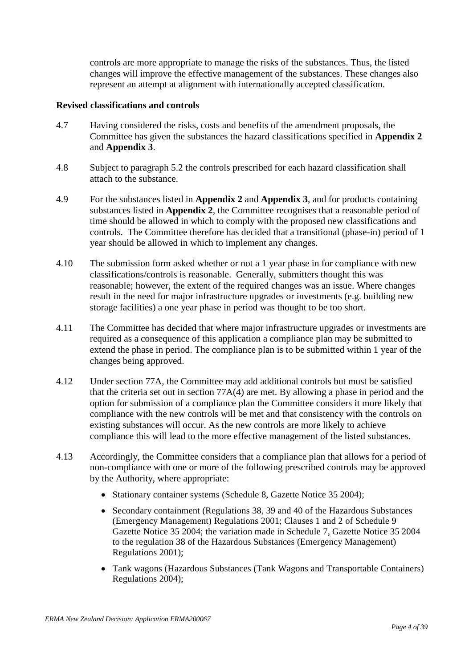controls are more appropriate to manage the risks of the substances. Thus, the listed changes will improve the effective management of the substances. These changes also represent an attempt at alignment with internationally accepted classification.

#### **Revised classifications and controls**

- 4.7 Having considered the risks, costs and benefits of the amendment proposals, the Committee has given the substances the hazard classifications specified in **Appendix 2** and **Appendix 3**.
- 4.8 Subject to paragraph 5.2 the controls prescribed for each hazard classification shall attach to the substance.
- 4.9 For the substances listed in **Appendix 2** and **Appendix 3**, and for products containing substances listed in **Appendix 2**, the Committee recognises that a reasonable period of time should be allowed in which to comply with the proposed new classifications and controls. The Committee therefore has decided that a transitional (phase-in) period of 1 year should be allowed in which to implement any changes.
- 4.10 The submission form asked whether or not a 1 year phase in for compliance with new classifications/controls is reasonable. Generally, submitters thought this was reasonable; however, the extent of the required changes was an issue. Where changes result in the need for major infrastructure upgrades or investments (e.g. building new storage facilities) a one year phase in period was thought to be too short.
- 4.11 The Committee has decided that where major infrastructure upgrades or investments are required as a consequence of this application a compliance plan may be submitted to extend the phase in period. The compliance plan is to be submitted within 1 year of the changes being approved.
- 4.12 Under section 77A, the Committee may add additional controls but must be satisfied that the criteria set out in section 77A(4) are met. By allowing a phase in period and the option for submission of a compliance plan the Committee considers it more likely that compliance with the new controls will be met and that consistency with the controls on existing substances will occur. As the new controls are more likely to achieve compliance this will lead to the more effective management of the listed substances.
- 4.13 Accordingly, the Committee considers that a compliance plan that allows for a period of non-compliance with one or more of the following prescribed controls may be approved by the Authority, where appropriate:
	- Stationary container systems (Schedule 8, Gazette Notice 35 2004);
	- Secondary containment (Regulations 38, 39 and 40 of the Hazardous Substances (Emergency Management) Regulations 2001; Clauses 1 and 2 of Schedule 9 Gazette Notice 35 2004; the variation made in Schedule 7, Gazette Notice 35 2004 to the regulation 38 of the Hazardous Substances (Emergency Management) Regulations 2001);
	- Tank wagons (Hazardous Substances (Tank Wagons and Transportable Containers) Regulations 2004);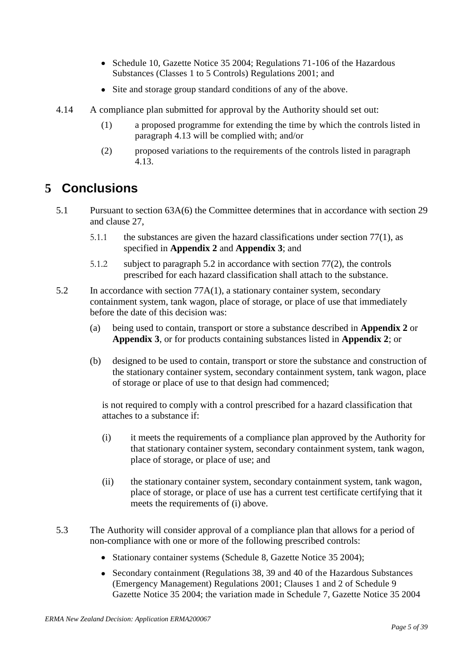- Schedule 10, Gazette Notice 35 2004; Regulations 71-106 of the Hazardous Substances (Classes 1 to 5 Controls) Regulations 2001; and
- Site and storage group standard conditions of any of the above.
- 4.14 A compliance plan submitted for approval by the Authority should set out:
	- (1) a proposed programme for extending the time by which the controls listed in paragraph 4.13 will be complied with; and/or
	- (2) proposed variations to the requirements of the controls listed in paragraph 4.13.

# **5 Conclusions**

- 5.1 Pursuant to section 63A(6) the Committee determines that in accordance with section 29 and clause 27,
	- 5.1.1 the substances are given the hazard classifications under section 77(1), as specified in **Appendix 2** and **Appendix 3**; and
	- 5.1.2 subject to paragraph 5.2 in accordance with section 77(2), the controls prescribed for each hazard classification shall attach to the substance.
- 5.2 In accordance with section 77A(1), a stationary container system, secondary containment system, tank wagon, place of storage, or place of use that immediately before the date of this decision was:
	- (a) being used to contain, transport or store a substance described in **Appendix 2** or **Appendix 3**, or for products containing substances listed in **Appendix 2**; or
	- (b) designed to be used to contain, transport or store the substance and construction of the stationary container system, secondary containment system, tank wagon, place of storage or place of use to that design had commenced;

is not required to comply with a control prescribed for a hazard classification that attaches to a substance if:

- (i) it meets the requirements of a compliance plan approved by the Authority for that stationary container system, secondary containment system, tank wagon, place of storage, or place of use; and
- (ii) the stationary container system, secondary containment system, tank wagon, place of storage, or place of use has a current test certificate certifying that it meets the requirements of (i) above.
- 5.3 The Authority will consider approval of a compliance plan that allows for a period of non-compliance with one or more of the following prescribed controls:
	- Stationary container systems (Schedule 8, Gazette Notice 35 2004);
	- Secondary containment (Regulations 38, 39 and 40 of the Hazardous Substances (Emergency Management) Regulations 2001; Clauses 1 and 2 of Schedule 9 Gazette Notice 35 2004; the variation made in Schedule 7, Gazette Notice 35 2004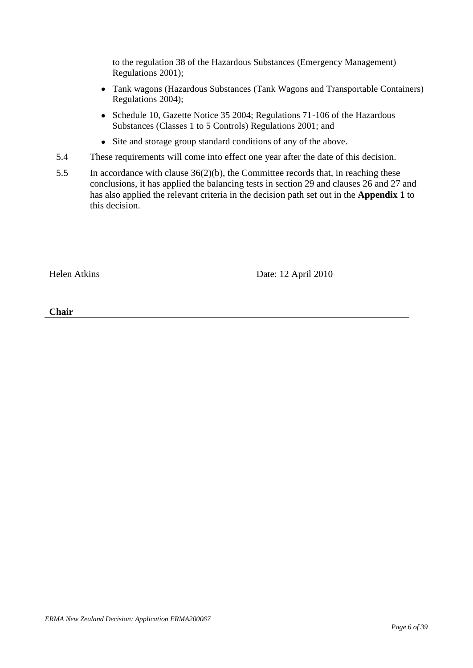to the regulation 38 of the Hazardous Substances (Emergency Management) Regulations 2001);

- Tank wagons (Hazardous Substances (Tank Wagons and Transportable Containers) Regulations 2004);
- Schedule 10, Gazette Notice 35 2004; Regulations 71-106 of the Hazardous Substances (Classes 1 to 5 Controls) Regulations 2001; and
- Site and storage group standard conditions of any of the above.
- 5.4 These requirements will come into effect one year after the date of this decision.
- 5.5 In accordance with clause 36(2)(b), the Committee records that, in reaching these conclusions, it has applied the balancing tests in section 29 and clauses 26 and 27 and has also applied the relevant criteria in the decision path set out in the **Appendix 1** to this decision.

Helen Atkins Date: 12 April 2010

**Chair**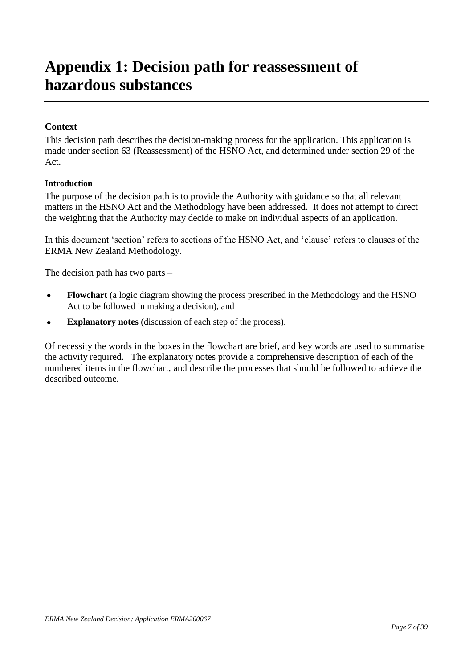# **Appendix 1: Decision path for reassessment of hazardous substances**

### **Context**

This decision path describes the decision-making process for the application. This application is made under section 63 (Reassessment) of the HSNO Act, and determined under section 29 of the Act.

#### **Introduction**

The purpose of the decision path is to provide the Authority with guidance so that all relevant matters in the HSNO Act and the Methodology have been addressed. It does not attempt to direct the weighting that the Authority may decide to make on individual aspects of an application.

In this document 'section' refers to sections of the HSNO Act, and 'clause' refers to clauses of the ERMA New Zealand Methodology.

The decision path has two parts –

- **Flowchart** (a logic diagram showing the process prescribed in the Methodology and the HSNO  $\bullet$ Act to be followed in making a decision), and
- **Explanatory notes** (discussion of each step of the process).  $\bullet$

Of necessity the words in the boxes in the flowchart are brief, and key words are used to summarise the activity required. The explanatory notes provide a comprehensive description of each of the numbered items in the flowchart, and describe the processes that should be followed to achieve the described outcome.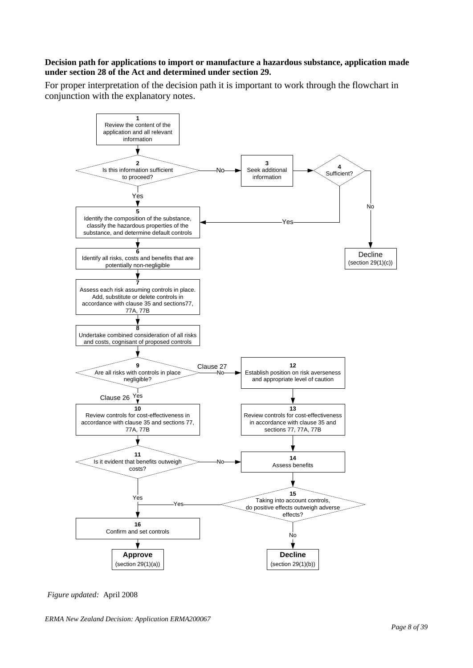#### **Decision path for applications to import or manufacture a hazardous substance, application made under section 28 of the Act and determined under section 29.**

For proper interpretation of the decision path it is important to work through the flowchart in conjunction with the explanatory notes.



*Figure updated:* April 2008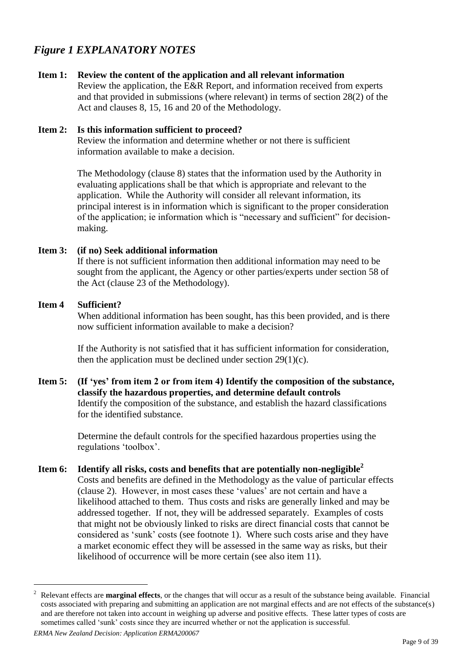## *Figure 1 EXPLANATORY NOTES*

#### **Item 1: Review the content of the application and all relevant information**

Review the application, the E&R Report, and information received from experts and that provided in submissions (where relevant) in terms of section 28(2) of the Act and clauses 8, 15, 16 and 20 of the Methodology.

#### **Item 2: Is this information sufficient to proceed?**

Review the information and determine whether or not there is sufficient information available to make a decision.

The Methodology (clause 8) states that the information used by the Authority in evaluating applications shall be that which is appropriate and relevant to the application. While the Authority will consider all relevant information, its principal interest is in information which is significant to the proper consideration of the application; ie information which is "necessary and sufficient" for decisionmaking.

#### **Item 3: (if no) Seek additional information**

If there is not sufficient information then additional information may need to be sought from the applicant, the Agency or other parties/experts under section 58 of the Act (clause 23 of the Methodology).

#### **Item 4 Sufficient?**

When additional information has been sought, has this been provided, and is there now sufficient information available to make a decision?

If the Authority is not satisfied that it has sufficient information for consideration, then the application must be declined under section  $29(1)(c)$ .

**Item 5: (If 'yes' from item 2 or from item 4) Identify the composition of the substance, classify the hazardous properties, and determine default controls** Identify the composition of the substance, and establish the hazard classifications for the identified substance.

> Determine the default controls for the specified hazardous properties using the regulations "toolbox".

**Item 6: Identify all risks, costs and benefits that are potentially non-negligible<sup>2</sup>** Costs and benefits are defined in the Methodology as the value of particular effects (clause 2). However, in most cases these "values" are not certain and have a likelihood attached to them. Thus costs and risks are generally linked and may be addressed together. If not, they will be addressed separately. Examples of costs that might not be obviously linked to risks are direct financial costs that cannot be considered as "sunk" costs (see footnote 1). Where such costs arise and they have a market economic effect they will be assessed in the same way as risks, but their likelihood of occurrence will be more certain (see also item 11).

<sup>2</sup> Relevant effects are **marginal effects**, or the changes that will occur as a result of the substance being available. Financial costs associated with preparing and submitting an application are not marginal effects and are not effects of the substance(s) and are therefore not taken into account in weighing up adverse and positive effects. These latter types of costs are sometimes called 'sunk' costs since they are incurred whether or not the application is successful.

*ERMA New Zealand Decision: Application ERMA200067*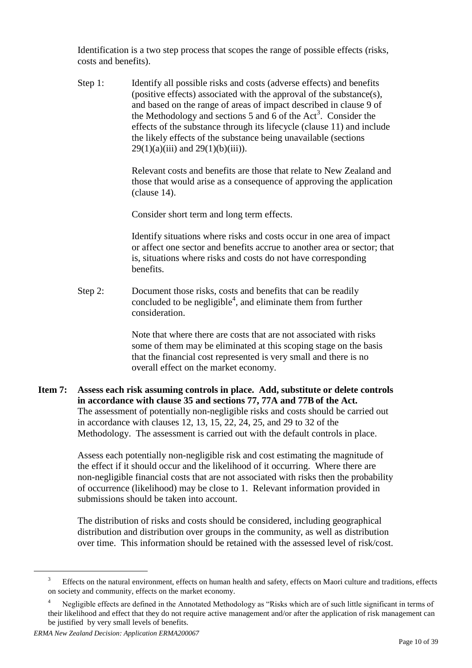Identification is a two step process that scopes the range of possible effects (risks, costs and benefits).

Step 1: Identify all possible risks and costs (adverse effects) and benefits (positive effects) associated with the approval of the substance(s), and based on the range of areas of impact described in clause 9 of the Methodology and sections 5 and  $\vec{6}$  of the Act<sup>3</sup>. Consider the effects of the substance through its lifecycle (clause 11) and include the likely effects of the substance being unavailable (sections  $29(1)(a)(iii)$  and  $29(1)(b)(iii)$ .

> Relevant costs and benefits are those that relate to New Zealand and those that would arise as a consequence of approving the application (clause 14).

Consider short term and long term effects.

Identify situations where risks and costs occur in one area of impact or affect one sector and benefits accrue to another area or sector; that is, situations where risks and costs do not have corresponding benefits.

Step 2: Document those risks, costs and benefits that can be readily concluded to be negligible<sup>4</sup>, and eliminate them from further consideration.

> Note that where there are costs that are not associated with risks some of them may be eliminated at this scoping stage on the basis that the financial cost represented is very small and there is no overall effect on the market economy.

**Item 7: Assess each risk assuming controls in place. Add, substitute or delete controls in accordance with clause 35 and sections 77, 77A and 77B of the Act.** The assessment of potentially non-negligible risks and costs should be carried out in accordance with clauses 12, 13, 15, 22, 24, 25, and 29 to 32 of the Methodology. The assessment is carried out with the default controls in place.

> Assess each potentially non-negligible risk and cost estimating the magnitude of the effect if it should occur and the likelihood of it occurring. Where there are non-negligible financial costs that are not associated with risks then the probability of occurrence (likelihood) may be close to 1. Relevant information provided in submissions should be taken into account.

> The distribution of risks and costs should be considered, including geographical distribution and distribution over groups in the community, as well as distribution over time. This information should be retained with the assessed level of risk/cost.

<sup>&</sup>lt;sup>3</sup> Effects on the natural environment, effects on human health and safety, effects on Maori culture and traditions, effects on society and community, effects on the market economy.

Negligible effects are defined in the Annotated Methodology as "Risks which are of such little significant in terms of their likelihood and effect that they do not require active management and/or after the application of risk management can be justified by very small levels of benefits.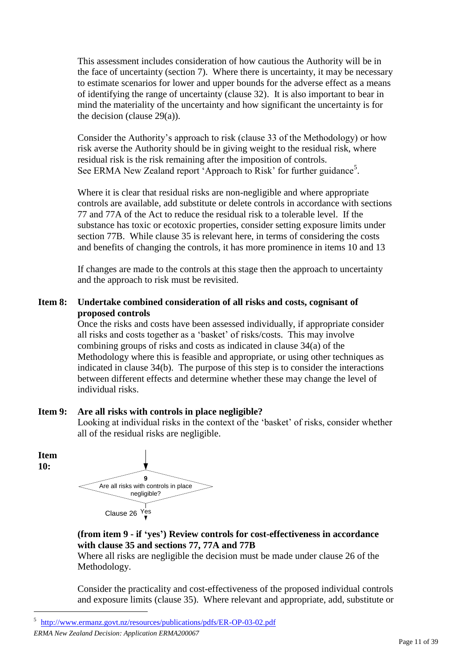This assessment includes consideration of how cautious the Authority will be in the face of uncertainty (section 7). Where there is uncertainty, it may be necessary to estimate scenarios for lower and upper bounds for the adverse effect as a means of identifying the range of uncertainty (clause 32). It is also important to bear in mind the materiality of the uncertainty and how significant the uncertainty is for the decision (clause 29(a)).

Consider the Authority"s approach to risk (clause 33 of the Methodology) or how risk averse the Authority should be in giving weight to the residual risk, where residual risk is the risk remaining after the imposition of controls. See ERMA New Zealand report 'Approach to Risk' for further guidance<sup>5</sup>.

Where it is clear that residual risks are non-negligible and where appropriate controls are available, add substitute or delete controls in accordance with sections 77 and 77A of the Act to reduce the residual risk to a tolerable level. If the substance has toxic or ecotoxic properties, consider setting exposure limits under section 77B. While clause 35 is relevant here, in terms of considering the costs and benefits of changing the controls, it has more prominence in items 10 and 13

If changes are made to the controls at this stage then the approach to uncertainty and the approach to risk must be revisited.

### **Item 8: Undertake combined consideration of all risks and costs, cognisant of proposed controls**

Once the risks and costs have been assessed individually, if appropriate consider all risks and costs together as a "basket" of risks/costs. This may involve combining groups of risks and costs as indicated in clause 34(a) of the Methodology where this is feasible and appropriate, or using other techniques as indicated in clause 34(b). The purpose of this step is to consider the interactions between different effects and determine whether these may change the level of individual risks.

### **Item 9: Are all risks with controls in place negligible?**

Looking at individual risks in the context of the 'basket' of risks, consider whether all of the residual risks are negligible.

**Item 10:**

 $\overline{a}$ 



### **(from item 9 - if 'yes') Review controls for cost-effectiveness in accordance with clause 35 and sections 77, 77A and 77B**

Where all risks are negligible the decision must be made under clause 26 of the Methodology.

Consider the practicality and cost-effectiveness of the proposed individual controls and exposure limits (clause 35). Where relevant and appropriate, add, substitute or

<sup>5</sup> <http://www.ermanz.govt.nz/resources/publications/pdfs/ER-OP-03-02.pdf>

*ERMA New Zealand Decision: Application ERMA200067*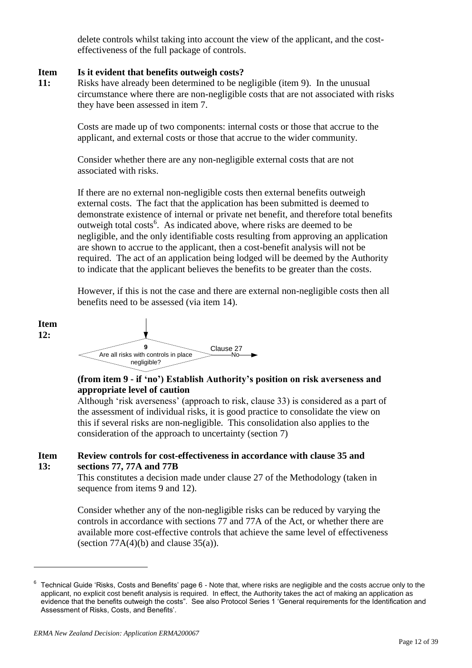delete controls whilst taking into account the view of the applicant, and the costeffectiveness of the full package of controls.

#### **Item Is it evident that benefits outweigh costs?**

**11:** Risks have already been determined to be negligible (item 9). In the unusual circumstance where there are non-negligible costs that are not associated with risks they have been assessed in item 7.

> Costs are made up of two components: internal costs or those that accrue to the applicant, and external costs or those that accrue to the wider community.

Consider whether there are any non-negligible external costs that are not associated with risks.

If there are no external non-negligible costs then external benefits outweigh external costs. The fact that the application has been submitted is deemed to demonstrate existence of internal or private net benefit, and therefore total benefits outweigh total costs<sup>6</sup>. As indicated above, where risks are deemed to be negligible, and the only identifiable costs resulting from approving an application are shown to accrue to the applicant, then a cost-benefit analysis will not be required. The act of an application being lodged will be deemed by the Authority to indicate that the applicant believes the benefits to be greater than the costs.

However, if this is not the case and there are external non-negligible costs then all benefits need to be assessed (via item 14).



### **(from item 9 - if 'no') Establish Authority's position on risk averseness and appropriate level of caution**

Although 'risk averseness' (approach to risk, clause 33) is considered as a part of the assessment of individual risks, it is good practice to consolidate the view on this if several risks are non-negligible. This consolidation also applies to the consideration of the approach to uncertainty (section 7)

#### **Item 13: Review controls for cost-effectiveness in accordance with clause 35 and sections 77, 77A and 77B**

This constitutes a decision made under clause 27 of the Methodology (taken in sequence from items 9 and 12).

Consider whether any of the non-negligible risks can be reduced by varying the controls in accordance with sections 77 and 77A of the Act, or whether there are available more cost-effective controls that achieve the same level of effectiveness (section  $77A(4)(b)$  and clause  $35(a)$ ).

 $^6$  Technical Guide 'Risks, Costs and Benefits' page 6 - Note that, where risks are negligible and the costs accrue only to the applicant, no explicit cost benefit analysis is required. In effect, the Authority takes the act of making an application as evidence that the benefits outweigh the costs". See also Protocol Series 1 'General requirements for the Identification and Assessment of Risks, Costs, and Benefits'.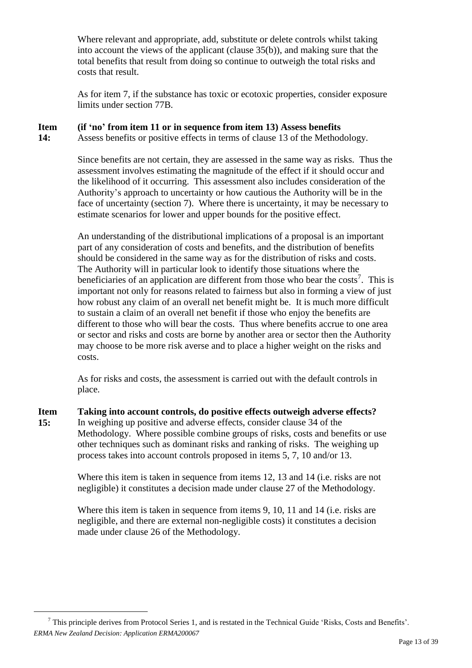Where relevant and appropriate, add, substitute or delete controls whilst taking into account the views of the applicant (clause 35(b)), and making sure that the total benefits that result from doing so continue to outweigh the total risks and costs that result.

As for item 7, if the substance has toxic or ecotoxic properties, consider exposure limits under section 77B.

#### **Item (if 'no' from item 11 or in sequence from item 13) Assess benefits**

**14:** Assess benefits or positive effects in terms of clause 13 of the Methodology.

> Since benefits are not certain, they are assessed in the same way as risks. Thus the assessment involves estimating the magnitude of the effect if it should occur and the likelihood of it occurring. This assessment also includes consideration of the Authority"s approach to uncertainty or how cautious the Authority will be in the face of uncertainty (section 7). Where there is uncertainty, it may be necessary to estimate scenarios for lower and upper bounds for the positive effect.

> An understanding of the distributional implications of a proposal is an important part of any consideration of costs and benefits, and the distribution of benefits should be considered in the same way as for the distribution of risks and costs. The Authority will in particular look to identify those situations where the beneficiaries of an application are different from those who bear the costs<sup>7</sup>. This is important not only for reasons related to fairness but also in forming a view of just how robust any claim of an overall net benefit might be. It is much more difficult to sustain a claim of an overall net benefit if those who enjoy the benefits are different to those who will bear the costs. Thus where benefits accrue to one area or sector and risks and costs are borne by another area or sector then the Authority may choose to be more risk averse and to place a higher weight on the risks and costs.

As for risks and costs, the assessment is carried out with the default controls in place.

**Item 15: Taking into account controls, do positive effects outweigh adverse effects?** In weighing up positive and adverse effects, consider clause 34 of the Methodology. Where possible combine groups of risks, costs and benefits or use other techniques such as dominant risks and ranking of risks. The weighing up process takes into account controls proposed in items 5, 7, 10 and/or 13.

> Where this item is taken in sequence from items 12, 13 and 14 (i.e. risks are not negligible) it constitutes a decision made under clause 27 of the Methodology.

Where this item is taken in sequence from items 9, 10, 11 and 14 (i.e. risks are negligible, and there are external non-negligible costs) it constitutes a decision made under clause 26 of the Methodology.

*ERMA New Zealand Decision: Application ERMA200067*  $7$  This principle derives from Protocol Series 1, and is restated in the Technical Guide 'Risks, Costs and Benefits'.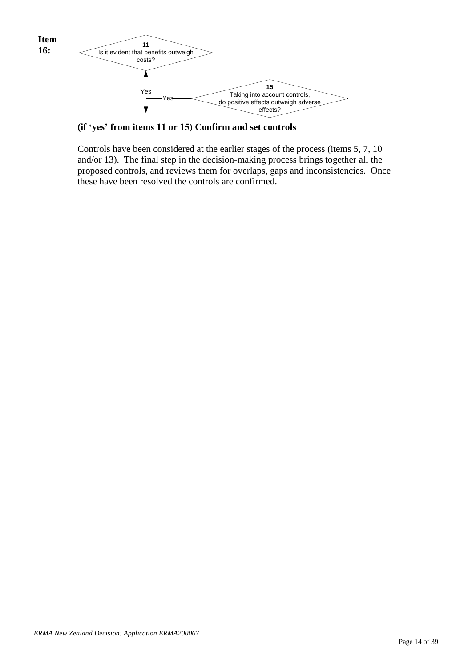

**(if 'yes' from items 11 or 15) Confirm and set controls**

Controls have been considered at the earlier stages of the process (items 5, 7, 10 and/or 13). The final step in the decision-making process brings together all the proposed controls, and reviews them for overlaps, gaps and inconsistencies. Once these have been resolved the controls are confirmed.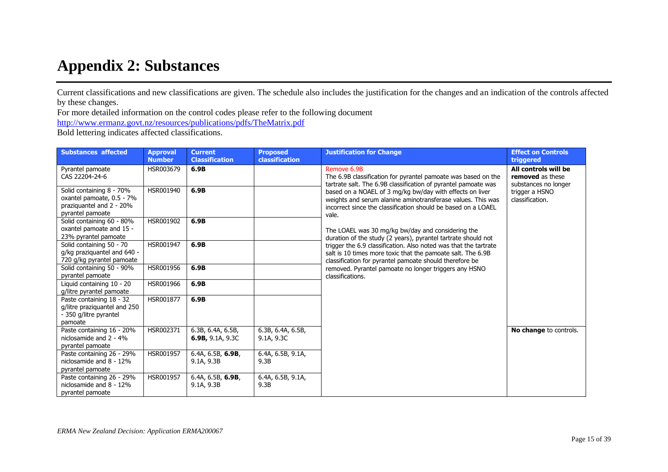# **Appendix 2: Substances**

Current classifications and new classifications are given. The schedule also includes the justification for the changes and an indication of the controls affected by these changes.

For more detailed information on the control codes please refer to the following document

<http://www.ermanz.govt.nz/resources/publications/pdfs/TheMatrix.pdf>

Bold lettering indicates affected classifications.

| <b>Substances affected</b>                                                                            | <b>Approval</b><br><b>Number</b> | <b>Current</b><br><b>Classification</b>      | <b>Proposed</b><br>classification | <b>Justification for Change</b>                                                                                                                                                                   | <b>Effect on Controls</b><br>triggered                           |
|-------------------------------------------------------------------------------------------------------|----------------------------------|----------------------------------------------|-----------------------------------|---------------------------------------------------------------------------------------------------------------------------------------------------------------------------------------------------|------------------------------------------------------------------|
| Pyrantel pamoate<br>CAS 22204-24-6                                                                    | HSR003679                        | 6.9B                                         |                                   | Remove 6.9B<br>The 6.9B classification for pyrantel pamoate was based on the<br>tartrate salt. The 6.9B classification of pyrantel pamoate was                                                    | All controls will be<br>removed as these<br>substances no longer |
| Solid containing 8 - 70%<br>oxantel pamoate, 0.5 - 7%<br>praziquantel and 2 - 20%<br>pyrantel pamoate | HSR001940                        | 6.9B                                         |                                   | based on a NOAEL of 3 mg/kg bw/day with effects on liver<br>weights and serum alanine aminotransferase values. This was<br>incorrect since the classification should be based on a LOAEL<br>vale. | trigger a HSNO<br>classification.                                |
| Solid containing 60 - 80%<br>oxantel pamoate and 15 -<br>23% pyrantel pamoate                         | HSR001902                        | 6.9B                                         |                                   | The LOAEL was 30 mg/kg bw/day and considering the<br>duration of the study (2 years), pyrantel tartrate should not                                                                                |                                                                  |
| Solid containing 50 - 70<br>g/kg praziquantel and 640 -<br>720 g/kg pyrantel pamoate                  | HSR001947                        | 6.9B                                         |                                   | trigger the 6.9 classification. Also noted was that the tartrate<br>salt is 10 times more toxic that the pamoate salt. The 6.9B<br>classification for pyrantel pamoate should therefore be        |                                                                  |
| Solid containing 50 - 90%<br>pyrantel pamoate                                                         | HSR001956                        | 6.9B                                         |                                   | removed. Pyrantel pamoate no longer triggers any HSNO<br>classifications.                                                                                                                         |                                                                  |
| Liquid containing 10 - 20<br>g/litre pyrantel pamoate                                                 | HSR001966                        | 6.9B                                         |                                   |                                                                                                                                                                                                   |                                                                  |
| Paste containing 18 - 32<br>g/litre praziquantel and 250<br>- 350 g/litre pyrantel<br>pamoate         | HSR001877                        | 6.9B                                         |                                   |                                                                                                                                                                                                   |                                                                  |
| Paste containing 16 - 20%<br>niclosamide and 2 - 4%<br>pyrantel pamoate                               | HSR002371                        | 6.3B, 6.4A, 6.5B,<br><b>6.9B, 9.1A, 9.3C</b> | 6.3B, 6.4A, 6.5B,<br>9.1A, 9.3C   |                                                                                                                                                                                                   | No change to controls.                                           |
| Paste containing 26 - 29%<br>niclosamide and 8 - 12%<br>pyrantel pamoate                              | HSR001957                        | 6.4A, 6.5B, 6.9B,<br>9.1A, 9.3B              | 6.4A, 6.5B, 9.1A,<br>9.3B         |                                                                                                                                                                                                   |                                                                  |
| Paste containing 26 - 29%<br>niclosamide and 8 - 12%<br>pyrantel pamoate                              | HSR001957                        | 6.4A, $6.5B$ , $6.9B$ ,<br>9.1A, 9.3B        | 6.4A, 6.5B, 9.1A,<br>9.3B         |                                                                                                                                                                                                   |                                                                  |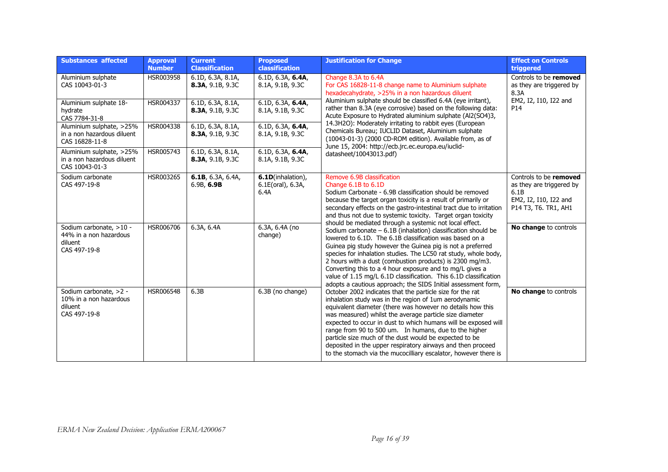| <b>Substances affected</b>                                                   | <b>Approval</b><br><b>Number</b> | <b>Current</b><br><b>Classification</b> | <b>Proposed</b><br>classification              | <b>Justification for Change</b>                                                                                                                                                                                                                                                                                                                                                                                                                                                                                                                                                    | <b>Effect on Controls</b><br>triggered                                                                      |
|------------------------------------------------------------------------------|----------------------------------|-----------------------------------------|------------------------------------------------|------------------------------------------------------------------------------------------------------------------------------------------------------------------------------------------------------------------------------------------------------------------------------------------------------------------------------------------------------------------------------------------------------------------------------------------------------------------------------------------------------------------------------------------------------------------------------------|-------------------------------------------------------------------------------------------------------------|
| Aluminium sulphate<br>CAS 10043-01-3                                         | HSR003958                        | 6.1D, 6.3A, 8.1A,<br>8.3A, 9.1B, 9.3C   | 6.1D, 6.3A, 6.4A,<br>8.1A, 9.1B, 9.3C          | Change 8.3A to 6.4A<br>For CAS 16828-11-8 change name to Aluminium sulphate<br>hexadecahydrate, >25% in a non hazardous diluent                                                                                                                                                                                                                                                                                                                                                                                                                                                    | Controls to be removed<br>as they are triggered by<br>8.3A                                                  |
| Aluminium sulphate 18-<br>hydrate<br>CAS 7784-31-8                           | HSR004337                        | 6.1D, 6.3A, 8.1A,<br>8.3A, 9.1B, 9.3C   | 6.1D, 6.3A, 6.4A,<br>8.1A, 9.1B, 9.3C          | Aluminium sulphate should be classified 6.4A (eye irritant),<br>rather than 8.3A (eye corrosive) based on the following data:<br>Acute Exposure to Hydrated aluminium sulphate (Al2(SO4)3,                                                                                                                                                                                                                                                                                                                                                                                         | EM2, I2, I10, I22 and<br>P <sub>14</sub>                                                                    |
| Aluminium sulphate, >25%<br>in a non hazardous diluent<br>CAS 16828-11-8     | HSR004338                        | 6.1D, 6.3A, 8.1A,<br>8.3A, 9.1B, 9.3C   | 6.1D, 6.3A, 6.4A,<br>8.1A, 9.1B, 9.3C          | 14.3H2O): Moderately irritating to rabbit eyes (European<br>Chemicals Bureau; IUCLID Dataset, Aluminium sulphate<br>(10043-01-3) (2000 CD-ROM edition). Available from, as of                                                                                                                                                                                                                                                                                                                                                                                                      |                                                                                                             |
| Aluminium sulphate, >25%<br>in a non hazardous diluent<br>CAS 10043-01-3     | HSR005743                        | 6.1D, 6.3A, 8.1A,<br>8.3A, 9.1B, 9.3C   | 6.1D, 6.3A, 6.4A,<br>8.1A, 9.1B, 9.3C          | June 15, 2004: http://ecb.jrc.ec.europa.eu/iuclid-<br>datasheet/10043013.pdf)                                                                                                                                                                                                                                                                                                                                                                                                                                                                                                      |                                                                                                             |
| Sodium carbonate<br>CAS 497-19-8                                             | HSR003265                        | 6.1B, 6.3A, 6.4A,<br>6.9B, 6.9B         | 6.1D(inhalation),<br>6.1E(oral), 6.3A,<br>6.4A | Remove 6.9B classification<br>Change 6.1B to 6.1D<br>Sodium Carbonate - 6.9B classification should be removed<br>because the target organ toxicity is a result of primarily or<br>secondary effects on the gastro-intestinal tract due to irritation<br>and thus not due to systemic toxicity. Target organ toxicity                                                                                                                                                                                                                                                               | Controls to be removed<br>as they are triggered by<br>6.1B<br>EM2, I2, I10, I22 and<br>P14 T3, T6. TR1, AH1 |
| Sodium carbonate, >10 -<br>44% in a non hazardous<br>diluent<br>CAS 497-19-8 | HSR006706                        | 6.3A, 6.4A                              | 6.3A, 6.4A (no<br>change)                      | should be mediated through a systemic not local effect.<br>Sodium carbonate $-6.1B$ (inhalation) classification should be<br>lowered to 6.1D. The 6.1B classification was based on a<br>Guinea pig study however the Guinea pig is not a preferred<br>species for inhalation studies. The LC50 rat study, whole body,<br>2 hours with a dust (combustion products) is 2300 mg/m3.<br>Converting this to a 4 hour exposure and to mg/L gives a<br>value of 1.15 mg/L 6.1D classification. This 6.1D classification<br>adopts a cautious approach; the SIDS Initial assessment form, | No change to controls                                                                                       |
| Sodium carbonate, >2 -<br>10% in a non hazardous<br>diluent<br>CAS 497-19-8  | HSR006548                        | 6.3B                                    | 6.3B (no change)                               | October 2002 indicates that the particle size for the rat<br>inhalation study was in the region of 1um aerodynamic<br>equivalent diameter (there was however no details how this<br>was measured) whilst the average particle size diameter<br>expected to occur in dust to which humans will be exposed will<br>range from 90 to 500 um. In humans, due to the higher<br>particle size much of the dust would be expected to be<br>deposited in the upper respiratory airways and then proceed<br>to the stomach via the mucocilliary escalator, however there is                 | No change to controls                                                                                       |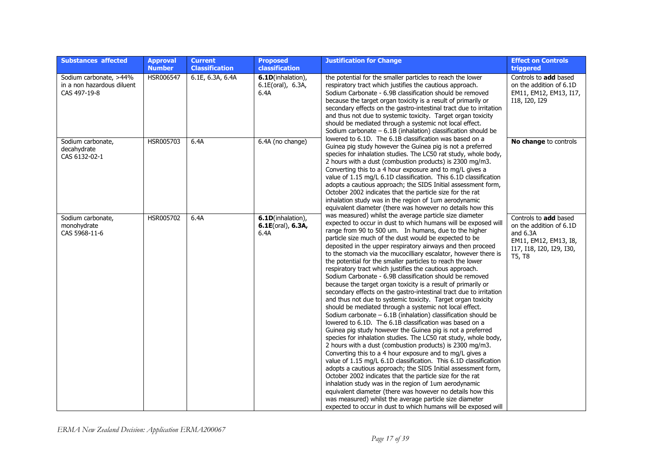| <b>Substances affected</b>                                           | <b>Approval</b><br><b>Number</b> | <b>Current</b><br><b>Classification</b> | <b>Proposed</b><br>classification                 | <b>Justification for Change</b>                                                                                                                                                                                                                                                                                                                                                                                                                                                                                                                                                                                                                                                                                                                                                                                                                                                                                                                                                                                                                                                                                                                                                                                                                                                                                                                                                                                                                                                                                                                       | <b>Effect on Controls</b><br>triggered                                                                                        |
|----------------------------------------------------------------------|----------------------------------|-----------------------------------------|---------------------------------------------------|-------------------------------------------------------------------------------------------------------------------------------------------------------------------------------------------------------------------------------------------------------------------------------------------------------------------------------------------------------------------------------------------------------------------------------------------------------------------------------------------------------------------------------------------------------------------------------------------------------------------------------------------------------------------------------------------------------------------------------------------------------------------------------------------------------------------------------------------------------------------------------------------------------------------------------------------------------------------------------------------------------------------------------------------------------------------------------------------------------------------------------------------------------------------------------------------------------------------------------------------------------------------------------------------------------------------------------------------------------------------------------------------------------------------------------------------------------------------------------------------------------------------------------------------------------|-------------------------------------------------------------------------------------------------------------------------------|
| Sodium carbonate, >44%<br>in a non hazardous diluent<br>CAS 497-19-8 | HSR006547                        | 6.1E, 6.3A, 6.4A                        | 6.1D(inhalation),<br>6.1E(oral), 6.3A,<br>6.4A    | the potential for the smaller particles to reach the lower<br>respiratory tract which justifies the cautious approach.<br>Sodium Carbonate - 6.9B classification should be removed<br>because the target organ toxicity is a result of primarily or<br>secondary effects on the gastro-intestinal tract due to irritation<br>and thus not due to systemic toxicity. Target organ toxicity<br>should be mediated through a systemic not local effect.<br>Sodium carbonate $-6.1B$ (inhalation) classification should be                                                                                                                                                                                                                                                                                                                                                                                                                                                                                                                                                                                                                                                                                                                                                                                                                                                                                                                                                                                                                                | Controls to add based<br>on the addition of 6.1D<br>EM11, EM12, EM13, I17,<br>I18, I20, I29                                   |
| Sodium carbonate,<br>decahydrate<br>CAS 6132-02-1                    | HSR005703                        | 6.4A                                    | 6.4A (no change)                                  | lowered to 6.1D. The 6.1B classification was based on a<br>Guinea pig study however the Guinea pig is not a preferred<br>species for inhalation studies. The LC50 rat study, whole body,<br>2 hours with a dust (combustion products) is 2300 mg/m3.<br>Converting this to a 4 hour exposure and to mg/L gives a<br>value of 1.15 mg/L 6.1D classification. This 6.1D classification<br>adopts a cautious approach; the SIDS Initial assessment form,<br>October 2002 indicates that the particle size for the rat<br>inhalation study was in the region of 1um aerodynamic<br>equivalent diameter (there was however no details how this                                                                                                                                                                                                                                                                                                                                                                                                                                                                                                                                                                                                                                                                                                                                                                                                                                                                                                             | No change to controls                                                                                                         |
| Sodium carbonate,<br>monohydrate<br>CAS 5968-11-6                    | HSR005702                        | 6.4A                                    | 6.1D(inhalation),<br>$6.1E(oral)$ , 6.3A,<br>6.4A | was measured) whilst the average particle size diameter<br>expected to occur in dust to which humans will be exposed will<br>range from 90 to 500 um. In humans, due to the higher<br>particle size much of the dust would be expected to be<br>deposited in the upper respiratory airways and then proceed<br>to the stomach via the mucocilliary escalator, however there is<br>the potential for the smaller particles to reach the lower<br>respiratory tract which justifies the cautious approach.<br>Sodium Carbonate - 6.9B classification should be removed<br>because the target organ toxicity is a result of primarily or<br>secondary effects on the gastro-intestinal tract due to irritation<br>and thus not due to systemic toxicity. Target organ toxicity<br>should be mediated through a systemic not local effect.<br>Sodium carbonate $-6.1B$ (inhalation) classification should be<br>lowered to 6.1D. The 6.1B classification was based on a<br>Guinea pig study however the Guinea pig is not a preferred<br>species for inhalation studies. The LC50 rat study, whole body,<br>2 hours with a dust (combustion products) is 2300 mg/m3.<br>Converting this to a 4 hour exposure and to mg/L gives a<br>value of 1.15 mg/L 6.1D classification. This 6.1D classification<br>adopts a cautious approach; the SIDS Initial assessment form,<br>October 2002 indicates that the particle size for the rat<br>inhalation study was in the region of 1um aerodynamic<br>equivalent diameter (there was however no details how this | Controls to add based<br>on the addition of 6.1D<br>and $6.3A$<br>EM11, EM12, EM13, I8,<br>I17, I18, I20, I29, I30,<br>T5, T8 |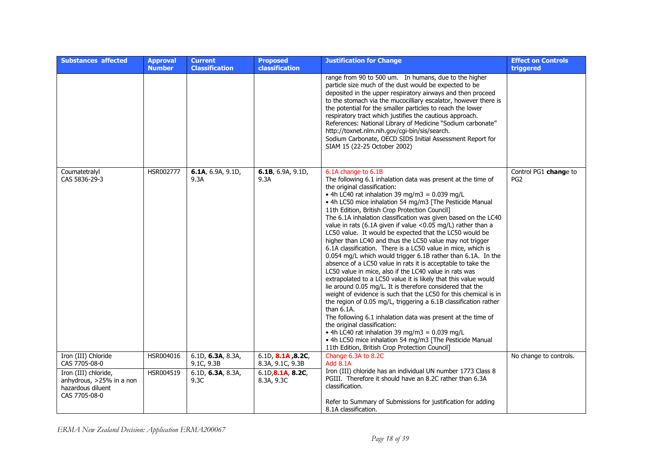| <b>Substances affected</b>                                                             | <b>Approval</b><br><b>Number</b> | <b>Current</b><br><b>Classification</b> | <b>Proposed</b><br><b>classification</b> | <b>Justification for Change</b>                                                                                                                                                                                                                                                                                                                                                                                                                                                                                                                                                                                                                                                                                                                                                                                                                                                                                                                                                                                                                                                                                                                                                                                                                                                                                                                                     | <b>Effect on Controls</b><br>triggered   |
|----------------------------------------------------------------------------------------|----------------------------------|-----------------------------------------|------------------------------------------|---------------------------------------------------------------------------------------------------------------------------------------------------------------------------------------------------------------------------------------------------------------------------------------------------------------------------------------------------------------------------------------------------------------------------------------------------------------------------------------------------------------------------------------------------------------------------------------------------------------------------------------------------------------------------------------------------------------------------------------------------------------------------------------------------------------------------------------------------------------------------------------------------------------------------------------------------------------------------------------------------------------------------------------------------------------------------------------------------------------------------------------------------------------------------------------------------------------------------------------------------------------------------------------------------------------------------------------------------------------------|------------------------------------------|
|                                                                                        |                                  |                                         |                                          | range from 90 to 500 um. In humans, due to the higher<br>particle size much of the dust would be expected to be<br>deposited in the upper respiratory airways and then proceed<br>to the stomach via the mucocilliary escalator, however there is<br>the potential for the smaller particles to reach the lower<br>respiratory tract which justifies the cautious approach.<br>References: National Library of Medicine "Sodium carbonate"<br>http://toxnet.nlm.nih.gov/cgi-bin/sis/search.<br>Sodium Carbonate, OECD SIDS Initial Assessment Report for<br>SIAM 15 (22-25 October 2002)                                                                                                                                                                                                                                                                                                                                                                                                                                                                                                                                                                                                                                                                                                                                                                            |                                          |
| Coumatetralyl<br>CAS 5836-29-3                                                         | HSR002777                        | 6.1A, 6.9A, 9.1D,<br>9.3A               | 6.1B, 6.9A, 9.1D,<br>9.3A                | 6.1A change to 6.1B<br>The following 6.1 inhalation data was present at the time of<br>the original classification:<br>• 4h LC40 rat inhalation 39 mg/m3 = $0.039$ mg/L<br>• 4h LC50 mice inhalation 54 mg/m3 [The Pesticide Manual<br>11th Edition, British Crop Protection Council]<br>The 6.1A inhalation classification was given based on the LC40<br>value in rats (6.1A given if value <0.05 mg/L) rather than a<br>LC50 value. It would be expected that the LC50 would be<br>higher than LC40 and thus the LC50 value may not trigger<br>6.1A classification. There is a LC50 value in mice, which is<br>0.054 mg/L which would trigger 6.1B rather than 6.1A. In the<br>absence of a LC50 value in rats it is acceptable to take the<br>LC50 value in mice, also if the LC40 value in rats was<br>extrapolated to a LC50 value it is likely that this value would<br>lie around 0.05 mg/L. It is therefore considered that the<br>weight of evidence is such that the LC50 for this chemical is in<br>the region of 0.05 mg/L, triggering a 6.1B classification rather<br>than $6.1A$ .<br>The following 6.1 inhalation data was present at the time of<br>the original classification:<br>• 4h LC40 rat inhalation 39 mg/m3 = $0.039$ mg/L<br>• 4h LC50 mice inhalation 54 mg/m3 [The Pesticide Manual<br>11th Edition, British Crop Protection Council] | Control PG1 change to<br>PG <sub>2</sub> |
| Iron (III) Chloride<br>CAS 7705-08-0                                                   | HSR004016                        | 6.1D, 6.3A, 8.3A,<br>9.1C, 9.3B         | 6.1D, 8.1A, 8.2C,<br>8.3A, 9.1C, 9.3B    | Change 6.3A to 8.2C<br><b>Add 8.1A</b>                                                                                                                                                                                                                                                                                                                                                                                                                                                                                                                                                                                                                                                                                                                                                                                                                                                                                                                                                                                                                                                                                                                                                                                                                                                                                                                              | No change to controls.                   |
| Iron (III) chloride,<br>anhydrous, >25% in a non<br>hazardous diluent<br>CAS 7705-08-0 | HSR004519                        | 6.1D, 6.3A, 8.3A,<br>9.3C               | 6.1D, 8.1A, 8.2C,<br>8.3A, 9.3C          | Iron (III) chloride has an individual UN number 1773 Class 8<br>PGIII. Therefore it should have an 8.2C rather than 6.3A<br>classification.<br>Refer to Summary of Submissions for justification for adding<br>8.1A classification.                                                                                                                                                                                                                                                                                                                                                                                                                                                                                                                                                                                                                                                                                                                                                                                                                                                                                                                                                                                                                                                                                                                                 |                                          |

*ERMA New Zealand Decision: Application ERMA200067*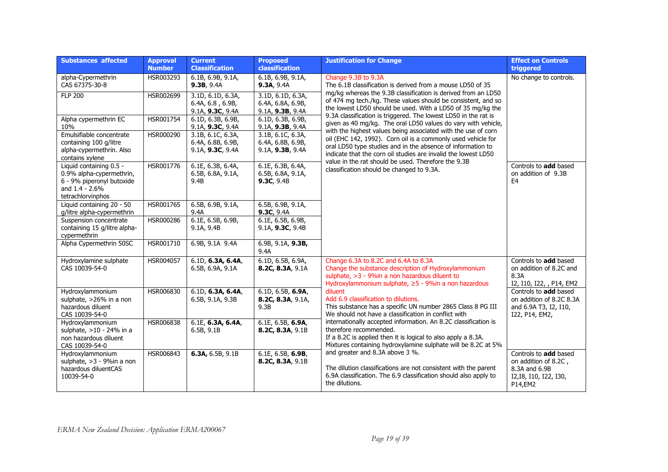| <b>Substances affected</b>                                                                                                | <b>Approval</b><br><b>Number</b> | <b>Current</b><br><b>Classification</b>                    | <b>Proposed</b><br>classification                          | <b>Justification for Change</b>                                                                                                                                                                                                                                                                                                                                                                       | <b>Effect on Controls</b><br>triggered                                                              |
|---------------------------------------------------------------------------------------------------------------------------|----------------------------------|------------------------------------------------------------|------------------------------------------------------------|-------------------------------------------------------------------------------------------------------------------------------------------------------------------------------------------------------------------------------------------------------------------------------------------------------------------------------------------------------------------------------------------------------|-----------------------------------------------------------------------------------------------------|
| alpha-Cypermethrin<br>CAS 67375-30-8                                                                                      | HSR003293                        | 6.1B, 6.9B, 9.1A,<br>9.3B, 9.4A                            | 6.1B, 6.9B, 9.1A,<br>9.3A, 9.4A                            | Change 9.3B to 9.3A<br>The 6.1B classification is derived from a mouse LD50 of 35                                                                                                                                                                                                                                                                                                                     | No change to controls.                                                                              |
| <b>FLP 200</b>                                                                                                            | HSR002699                        | 3.1D, 6.1D, 6.3A,<br>6.4A, 6.8, 6.9B,<br>9.1A, 9.3C, 9.4A  | 3.1D, 6.1D, 6.3A,<br>6.4A, 6.8A, 6.9B,<br>9.1A, 9.3B, 9.4A | mg/kg whereas the 9.3B classification is derived from an LD50<br>of 474 mg tech./kg. These values should be consistent, and so<br>the lowest LD50 should be used. With a LD50 of 35 mg/kg the                                                                                                                                                                                                         |                                                                                                     |
| Alpha cypermethrin EC<br>10%                                                                                              | HSR001754                        | 6.1D, 6.3B, 6.9B,<br>9.1A, 9.3C, 9.4A                      | 6.1D, 6.3B, 6.9B,<br>9.1A, 9.3B, 9.4A                      | 9.3A classification is triggered. The lowest LD50 in the rat is<br>given as 40 mg/kg. The oral LD50 values do vary with vehicle,                                                                                                                                                                                                                                                                      |                                                                                                     |
| Emulsifiable concentrate<br>containing 100 g/litre<br>alpha-cypermethrin. Also<br>contains xylene                         | HSR000290                        | 3.1B, 6.1C, 6.3A,<br>6.4A, 6.8B, 6.9B,<br>9.1A, 9.3C, 9.4A | 3.1B, 6.1C, 6.3A,<br>6.4A, 6.8B, 6.9B,<br>9.1A, 9.3B, 9.4A | with the highest values being associated with the use of corn<br>oil (EHC 142, 1992). Corn oil is a commonly used vehicle for<br>oral LD50 type studies and in the absence of information to<br>indicate that the corn oil studies are invalid the lowest LD50<br>value in the rat should be used. Therefore the 9.3B<br>classification should be changed to 9.3A.                                    |                                                                                                     |
| Liquid containing 0.5 -<br>0.9% alpha-cypermethrin,<br>6 - 9% piperonyl butoxide<br>and $1.4 - 2.6%$<br>tetrachlorvinphos | HSR001776                        | 6.1E, 6.3B, 6.4A,<br>6.5B, 6.8A, 9.1A,<br>9.4B             | 6.1E, 6.3B, 6.4A,<br>6.5B, 6.8A, 9.1A,<br>9.3C, 9.4B       |                                                                                                                                                                                                                                                                                                                                                                                                       | Controls to add based<br>on addition of 9.3B<br>E <sub>4</sub>                                      |
| Liquid containing 20 - 50<br>g/litre alpha-cypermethrin                                                                   | HSR001765                        | 6.5B, 6.9B, 9.1A,<br>9.4A                                  | 6.5B, 6.9B, 9.1A,<br>9.3C, 9.4A                            |                                                                                                                                                                                                                                                                                                                                                                                                       |                                                                                                     |
| Suspension concentrate<br>containing 15 g/litre alpha-<br>cypermethrin                                                    | HSR000286                        | 6.1E, 6.5B, 6.9B,<br>9.1A, 9.4B                            | 6.1E, 6.5B, 6.9B,<br>9.1A, 9.3C, 9.4B                      |                                                                                                                                                                                                                                                                                                                                                                                                       |                                                                                                     |
| Alpha Cypermethrin 50SC                                                                                                   | HSR001710                        | 6.9B, 9.1A 9.4A                                            | 6.9B, 9.1A, 9.3B,<br>9.4A                                  |                                                                                                                                                                                                                                                                                                                                                                                                       |                                                                                                     |
| Hydroxylamine sulphate<br>CAS 10039-54-0                                                                                  | HSR004057                        | 6.1D, 6.3A, 6.4A,<br>6.5B, 6.9A, 9.1A                      | 6.1D, 6.5B, 6.9A,<br>8.2C, 8.3A, 9.1A                      | Change 6.3A to 8.2C and 6.4A to 8.3A<br>Change the substance description of Hydroxylammonium<br>sulphate, >3 - 9%in a non hazardous diluent to<br>Hydroxylammonium sulphate, ≥5 - 9%in a non hazardous                                                                                                                                                                                                | Controls to add based<br>on addition of 8.2C and<br>8.3A<br>I2, I10, I22, , P14, EM2                |
| Hydroxylammonium<br>sulphate, >26% in a non<br>hazardous diluent<br>CAS 10039-54-0                                        | HSR006830                        | 6.1D, 6.3A, 6.4A,<br>6.5B, 9.1A, 9.3B                      | 6.1D, 6.5B, 6.9A,<br>8.2C, 8.3A, 9.1A,<br>9.3B             | diluent<br>Add 6.9 classification to dilutions.<br>This substance has a specific UN number 2865 Class 8 PG III<br>We should not have a classification in conflict with<br>internationally accepted information. An 8.2C classification is<br>therefore recommended.<br>If a 8.2C is applied then it is logical to also apply a 8.3A.<br>Mixtures containing hydroxylamine sulphate will be 8.2C at 5% | Controls to add based<br>on addition of 8.2C 8.3A<br>and 6.9A T3, I2, I10,<br>I22, P14, EM2,        |
| Hydroxylammonium<br>sulphate, >10 - 24% in a<br>non hazardous diluent<br>CAS 10039-54-0                                   | HSR006838                        | 6.1E, 6.3A, 6.4A,<br>6.5B, 9.1B                            | 6.1E, 6.5B, 6.9A,<br>8.2C, 8.3A, 9.1B                      |                                                                                                                                                                                                                                                                                                                                                                                                       |                                                                                                     |
| Hydroxylammonium<br>sulphate, >3 - 9%in a non<br>hazardous diluentCAS<br>10039-54-0                                       | HSR006843                        | 6.3A, 6.5B, 9.1B                                           | 6.1E, 6.5B, 6.9B,<br>8.2C, 8.3A, 9.1B                      | and greater and 8.3A above 3 %.<br>The dilution classifications are not consistent with the parent<br>6.9A classification. The 6.9 classification should also apply to<br>the dilutions.                                                                                                                                                                                                              | Controls to add based<br>on addition of 8.2C,<br>8.3A and 6.9B<br>I2, I8, I10, I22, I30,<br>P14,EM2 |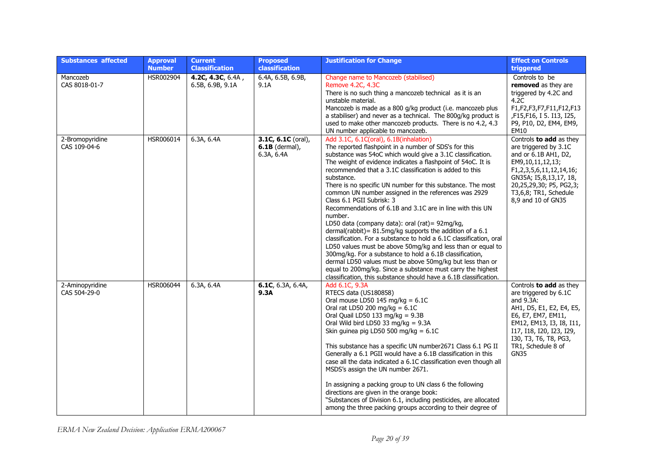| <b>Substances affected</b>      | <b>Approval</b><br><b>Number</b> | <b>Current</b><br><b>Classification</b> | <b>Proposed</b><br>classification                      | <b>Justification for Change</b>                                                                                                                                                                                                                                                                                                                                                                                                                                                                                                                                                                                                                                                                                                                                                                                                                                                                                                                                                                                                                       | <b>Effect on Controls</b><br>triggered                                                                                                                                                                                                |
|---------------------------------|----------------------------------|-----------------------------------------|--------------------------------------------------------|-------------------------------------------------------------------------------------------------------------------------------------------------------------------------------------------------------------------------------------------------------------------------------------------------------------------------------------------------------------------------------------------------------------------------------------------------------------------------------------------------------------------------------------------------------------------------------------------------------------------------------------------------------------------------------------------------------------------------------------------------------------------------------------------------------------------------------------------------------------------------------------------------------------------------------------------------------------------------------------------------------------------------------------------------------|---------------------------------------------------------------------------------------------------------------------------------------------------------------------------------------------------------------------------------------|
| Mancozeb<br>CAS 8018-01-7       | HSR002904                        | 4.2C, 4.3C, 6.4A,<br>6.5B, 6.9B, 9.1A   | 6.4A, 6.5B, 6.9B,<br>9.1A                              | Change name to Mancozeb (stabilised)<br>Remove 4.2C, 4.3C<br>There is no such thing a mancozeb technical as it is an<br>unstable material.<br>Mancozeb is made as a 800 g/kg product (i.e. mancozeb plus<br>a stabiliser) and never as a technical. The 800g/kg product is<br>used to make other mancozeb products. There is no 4.2, 4.3<br>UN number applicable to mancozeb.                                                                                                                                                                                                                                                                                                                                                                                                                                                                                                                                                                                                                                                                         | Controls to be<br>removed as they are<br>triggered by 4.2C and<br>4.2C<br>F1,F2,F3,F7,F11,F12,F13<br>,F15,F16, I 5. I13, I25,<br>P9, P10, D2, EM4, EM9,<br>EM10                                                                       |
| 2-Bromopyridine<br>CAS 109-04-6 | HSR006014                        | 6.3A, 6.4A                              | 3.1C, $6.1C$ (oral),<br>$6.1B$ (dermal),<br>6.3A, 6.4A | Add 3.1C, 6.1C(oral), 6.1B(inhalation)<br>The reported flashpoint in a number of SDS's for this<br>substance was 54oC which would give a 3.1C classification.<br>The weight of evidence indicates a flashpoint of 54oC. It is<br>recommended that a 3.1C classification is added to this<br>substance.<br>There is no specific UN number for this substance. The most<br>common UN number assigned in the references was 2929<br>Class 6.1 PGII Subrisk: 3<br>Recommendations of 6.1B and 3.1C are in line with this UN<br>number.<br>LD50 data (company data): oral (rat) = 92mg/kg,<br>dermal(rabbit) = 81.5mg/kg supports the addition of a 6.1<br>classification. For a substance to hold a 6.1C classification, oral<br>LD50 values must be above 50mg/kg and less than or equal to<br>300mg/kg. For a substance to hold a 6.1B classification,<br>dermal LD50 values must be above 50mg/kg but less than or<br>equal to 200mg/kg. Since a substance must carry the highest<br>classification, this substance should have a 6.1B classification. | Controls to add as they<br>are triggered by 3.1C<br>and or 6.1B AH1, D2,<br>EM9,10,11,12,13;<br>F1,2,3,5,6,11,12,14,16;<br>GN35A; I5,8,13,17, 18,<br>20,25,29,30; P5, PG2,3;<br>T3,6,8; TR1, Schedule<br>8,9 and 10 of GN35           |
| 2-Aminopyridine<br>CAS 504-29-0 | HSR006044                        | 6.3A, 6.4A                              | 6.1C, 6.3A, 6.4A,<br>9.3A                              | Add 6.1C, 9.3A<br>RTECS data (US180858)<br>Oral mouse LD50 145 mg/kg = $6.1C$<br>Oral rat LD50 200 mg/kg = $6.1C$<br>Oral Quail LD50 133 mg/kg = $9.3B$<br>Oral Wild bird LD50 33 mg/kg = $9.3A$<br>Skin guinea pig LD50 500 mg/kg = $6.1C$<br>This substance has a specific UN number2671 Class 6.1 PG II<br>Generally a 6.1 PGII would have a 6.1B classification in this<br>case all the data indicated a 6.1C classification even though all<br>MSDS's assign the UN number 2671.<br>In assigning a packing group to UN class 6 the following<br>directions are given in the orange book:<br>"Substances of Division 6.1, including pesticides, are allocated<br>among the three packing groups according to their degree of                                                                                                                                                                                                                                                                                                                      | Controls to add as they<br>are triggered by 6.1C<br>and 9.3A:<br>AH1, D5, E1, E2, E4, E5,<br>E6, E7, EM7, EM11,<br>EM12, EM13, I3, I8, I11,<br>I17, I18, I20, I23, I29,<br>I30, T3, T6, T8, PG3,<br>TR1, Schedule 8 of<br><b>GN35</b> |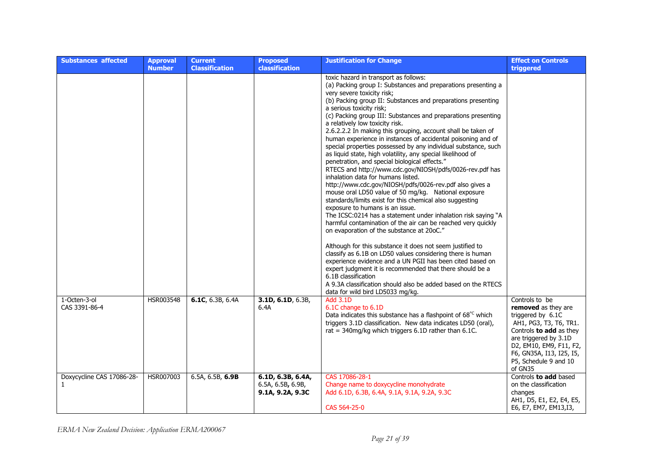| <b>Substances affected</b>                | <b>Approval</b><br><b>Number</b> | <b>Current</b><br><b>Classification</b> | <b>Proposed</b><br><b>classification</b>                   | <b>Justification for Change</b>                                                                                                                                                                                                                                                                                                                                                                                                                                                                                                                                                                                                                                                                                                                                                                                                                                                                                                                                                                                                                                                                                                                                                                                                                                                                                                                                                                                                                                                                                                          | <b>Effect on Controls</b><br>triggered                                                                                                                                                                                                     |
|-------------------------------------------|----------------------------------|-----------------------------------------|------------------------------------------------------------|------------------------------------------------------------------------------------------------------------------------------------------------------------------------------------------------------------------------------------------------------------------------------------------------------------------------------------------------------------------------------------------------------------------------------------------------------------------------------------------------------------------------------------------------------------------------------------------------------------------------------------------------------------------------------------------------------------------------------------------------------------------------------------------------------------------------------------------------------------------------------------------------------------------------------------------------------------------------------------------------------------------------------------------------------------------------------------------------------------------------------------------------------------------------------------------------------------------------------------------------------------------------------------------------------------------------------------------------------------------------------------------------------------------------------------------------------------------------------------------------------------------------------------------|--------------------------------------------------------------------------------------------------------------------------------------------------------------------------------------------------------------------------------------------|
|                                           |                                  |                                         |                                                            | toxic hazard in transport as follows:<br>(a) Packing group I: Substances and preparations presenting a<br>very severe toxicity risk;<br>(b) Packing group II: Substances and preparations presenting<br>a serious toxicity risk;<br>(c) Packing group III: Substances and preparations presenting<br>a relatively low toxicity risk.<br>2.6.2.2.2 In making this grouping, account shall be taken of<br>human experience in instances of accidental poisoning and of<br>special properties possessed by any individual substance, such<br>as liquid state, high volatility, any special likelihood of<br>penetration, and special biological effects."<br>RTECS and http://www.cdc.gov/NIOSH/pdfs/0026-rev.pdf has<br>inhalation data for humans listed.<br>http://www.cdc.gov/NIOSH/pdfs/0026-rev.pdf also gives a<br>mouse oral LD50 value of 50 mg/kg. National exposure<br>standards/limits exist for this chemical also suggesting<br>exposure to humans is an issue.<br>The ICSC:0214 has a statement under inhalation risk saying "A<br>harmful contamination of the air can be reached very quickly<br>on evaporation of the substance at 20oC."<br>Although for this substance it does not seem justified to<br>classify as 6.1B on LD50 values considering there is human<br>experience evidence and a UN PGII has been cited based on<br>expert judgment it is recommended that there should be a<br>6.1B classification<br>A 9.3A classification should also be added based on the RTECS<br>data for wild bird LD5033 mg/kg. |                                                                                                                                                                                                                                            |
| 1-Octen-3-ol<br>CAS 3391-86-4             | HSR003548                        | 6.1C, 6.3B, 6.4A                        | 3.1D, 6.1D, 6.3B,<br>6.4A                                  | <b>Add 3.1D</b><br>6.1C change to 6.1D<br>Data indicates this substance has a flashpoint of 68°C which<br>triggers 3.1D classification. New data indicates LD50 (oral),<br>rat = $340$ mg/kg which triggers 6.1D rather than 6.1C.                                                                                                                                                                                                                                                                                                                                                                                                                                                                                                                                                                                                                                                                                                                                                                                                                                                                                                                                                                                                                                                                                                                                                                                                                                                                                                       | Controls to be<br><b>removed</b> as they are<br>triggered by 6.1C<br>AH1, PG3, T3, T6, TR1.<br>Controls to add as they<br>are triggered by 3.1D<br>D2, EM10, EM9, F11, F2,<br>F6, GN35A, I13, I25, I5,<br>P5, Schedule 9 and 10<br>of GN35 |
| Doxycycline CAS 17086-28-<br>$\mathbf{1}$ | HSR007003                        | 6.5A, 6.5B, 6.9B                        | 6.1D, 6.3B, 6.4A,<br>6.5A, 6.5B, 6.9B,<br>9.1A, 9.2A, 9.3C | CAS 17086-28-1<br>Change name to doxycycline monohydrate<br>Add 6.1D, 6.3B, 6.4A, 9.1A, 9.1A, 9.2A, 9.3C<br>CAS 564-25-0                                                                                                                                                                                                                                                                                                                                                                                                                                                                                                                                                                                                                                                                                                                                                                                                                                                                                                                                                                                                                                                                                                                                                                                                                                                                                                                                                                                                                 | Controls to add based<br>on the classification<br>changes<br>AH1, D5, E1, E2, E4, E5,<br>E6, E7, EM7, EM13, I3,                                                                                                                            |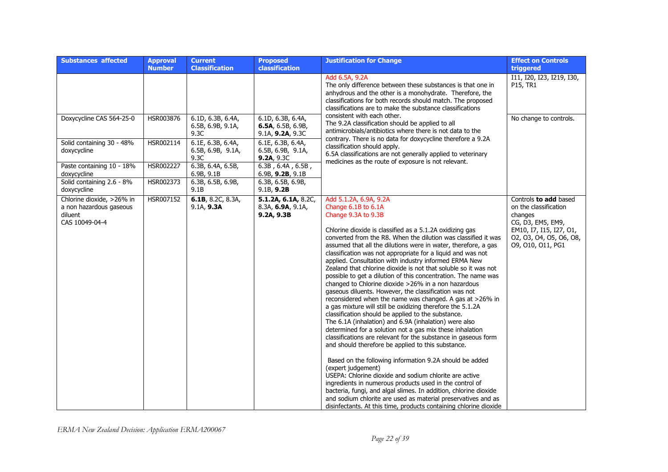| <b>Substances affected</b>                                                        | <b>Approval</b><br><b>Number</b> | <b>Current</b><br><b>Classification</b>        | <b>Proposed</b><br>classification                          | <b>Justification for Change</b>                                                                                                                                                                                                                                                                                                                                                                                                                                                                                                                                                                                                                                                                                                                                                                                                                                                                                                                                                                                                                                                                                                                                                                                                                                                                                                                                                                                                                                                                | <b>Effect on Controls</b><br>triggered                                                                                                                    |
|-----------------------------------------------------------------------------------|----------------------------------|------------------------------------------------|------------------------------------------------------------|------------------------------------------------------------------------------------------------------------------------------------------------------------------------------------------------------------------------------------------------------------------------------------------------------------------------------------------------------------------------------------------------------------------------------------------------------------------------------------------------------------------------------------------------------------------------------------------------------------------------------------------------------------------------------------------------------------------------------------------------------------------------------------------------------------------------------------------------------------------------------------------------------------------------------------------------------------------------------------------------------------------------------------------------------------------------------------------------------------------------------------------------------------------------------------------------------------------------------------------------------------------------------------------------------------------------------------------------------------------------------------------------------------------------------------------------------------------------------------------------|-----------------------------------------------------------------------------------------------------------------------------------------------------------|
|                                                                                   |                                  |                                                |                                                            | Add 6.5A, 9.2A<br>The only difference between these substances is that one in<br>anhydrous and the other is a monohydrate. Therefore, the<br>classifications for both records should match. The proposed<br>classifications are to make the substance classifications                                                                                                                                                                                                                                                                                                                                                                                                                                                                                                                                                                                                                                                                                                                                                                                                                                                                                                                                                                                                                                                                                                                                                                                                                          | I11, I20, I23, I219, I30,<br>P15, TR1                                                                                                                     |
| Doxycycline CAS 564-25-0                                                          | HSR003876                        | 6.1D, 6.3B, 6.4A,<br>6.5B, 6.9B, 9.1A,<br>9.3C | 6.1D, 6.3B, 6.4A,<br>6.5A, 6.5B, 6.9B,<br>9.1A, 9.2A, 9.3C | consistent with each other.<br>The 9.2A classification should be applied to all<br>antimicrobials/antibiotics where there is not data to the                                                                                                                                                                                                                                                                                                                                                                                                                                                                                                                                                                                                                                                                                                                                                                                                                                                                                                                                                                                                                                                                                                                                                                                                                                                                                                                                                   | No change to controls.                                                                                                                                    |
| Solid containing 30 - 48%<br>doxycycline                                          | HSR002114                        | 6.1E, 6.3B, 6.4A,<br>6.5B, 6.9B, 9.1A,<br>9.3C | 6.1E, 6.3B, 6.4A,<br>6.5B, 6.9B, 9.1A,<br>9.2A, 9.3C       | contrary. There is no data for doxycycline therefore a 9.2A<br>classification should apply.<br>6.5A classifications are not generally applied to veterinary                                                                                                                                                                                                                                                                                                                                                                                                                                                                                                                                                                                                                                                                                                                                                                                                                                                                                                                                                                                                                                                                                                                                                                                                                                                                                                                                    |                                                                                                                                                           |
| Paste containing 10 - 18%<br>doxycycline                                          | HSR002227                        | 6.3B, 6.4A, 6.5B,<br>6.9B, 9.1B                | 6.3B, 6.4A, 6.5B,<br>6.9B, 9.2B, 9.1B                      | medicines as the route of exposure is not relevant.                                                                                                                                                                                                                                                                                                                                                                                                                                                                                                                                                                                                                                                                                                                                                                                                                                                                                                                                                                                                                                                                                                                                                                                                                                                                                                                                                                                                                                            |                                                                                                                                                           |
| Solid containing 2.6 - 8%<br>doxycycline                                          | HSR002373                        | 6.3B, 6.5B, 6.9B,<br>9.1B                      | $6.3B$ , 6.5B, 6.9B,<br>9.1B, 9.2B                         |                                                                                                                                                                                                                                                                                                                                                                                                                                                                                                                                                                                                                                                                                                                                                                                                                                                                                                                                                                                                                                                                                                                                                                                                                                                                                                                                                                                                                                                                                                |                                                                                                                                                           |
| Chlorine dioxide, >26% in<br>a non hazardous gaseous<br>diluent<br>CAS 10049-04-4 | HSR007152                        | 6.1B, 8.2C, 8.3A,<br>9.1A, 9.3A                | 5.1.2A, 6.1A, 8.2C,<br>8.3A, 6.9A, 9.1A,<br>9.2A, 9.3B     | Add 5.1.2A, 6.9A, 9.2A<br>Change 6.1B to 6.1A<br>Change 9.3A to 9.3B<br>Chlorine dioxide is classified as a 5.1.2A oxidizing gas<br>converted from the R8. When the dilution was classified it was<br>assumed that all the dilutions were in water, therefore, a gas<br>classification was not appropriate for a liquid and was not<br>applied. Consultation with industry informed ERMA New<br>Zealand that chlorine dioxide is not that soluble so it was not<br>possible to get a dilution of this concentration. The name was<br>changed to Chlorine dioxide >26% in a non hazardous<br>gaseous diluents. However, the classification was not<br>reconsidered when the name was changed. A gas at >26% in<br>a gas mixture will still be oxidizing therefore the 5.1.2A<br>classification should be applied to the substance.<br>The 6.1A (inhalation) and 6.9A (inhalation) were also<br>determined for a solution not a gas mix these inhalation<br>classifications are relevant for the substance in gaseous form<br>and should therefore be applied to this substance.<br>Based on the following information 9.2A should be added<br>(expert judgement)<br>USEPA: Chlorine dioxide and sodium chlorite are active<br>ingredients in numerous products used in the control of<br>bacteria, fungi, and algal slimes. In addition, chlorine dioxide<br>and sodium chlorite are used as material preservatives and as<br>disinfectants. At this time, products containing chlorine dioxide | Controls to add based<br>on the classification<br>changes<br>CG, D3, EM5, EM9,<br>EM10, I7, I15, I27, O1,<br>02, 03, 04, 05, 06, 08,<br>09, 010, 011, PG1 |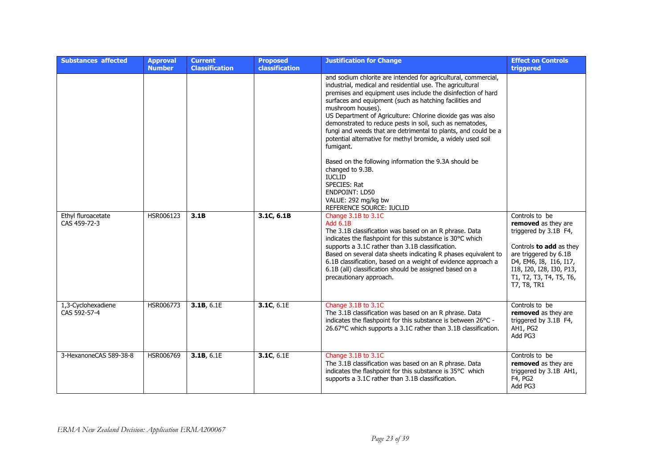| <b>Substances affected</b>         | <b>Approval</b><br><b>Number</b> | <b>Current</b><br><b>Classification</b> | <b>Proposed</b><br><b>classification</b> | <b>Justification for Change</b>                                                                                                                                                                                                                                                                                                                                                                                                                                                                                                                                                                                                                                                              | <b>Effect on Controls</b><br>triggered                                                                                                                                                                             |
|------------------------------------|----------------------------------|-----------------------------------------|------------------------------------------|----------------------------------------------------------------------------------------------------------------------------------------------------------------------------------------------------------------------------------------------------------------------------------------------------------------------------------------------------------------------------------------------------------------------------------------------------------------------------------------------------------------------------------------------------------------------------------------------------------------------------------------------------------------------------------------------|--------------------------------------------------------------------------------------------------------------------------------------------------------------------------------------------------------------------|
|                                    |                                  |                                         |                                          | and sodium chlorite are intended for agricultural, commercial,<br>industrial, medical and residential use. The agricultural<br>premises and equipment uses include the disinfection of hard<br>surfaces and equipment (such as hatching facilities and<br>mushroom houses).<br>US Department of Agriculture: Chlorine dioxide gas was also<br>demonstrated to reduce pests in soil, such as nematodes,<br>fungi and weeds that are detrimental to plants, and could be a<br>potential alternative for methyl bromide, a widely used soil<br>fumigant.<br>Based on the following information the 9.3A should be<br>changed to 9.3B.<br><b>IUCLID</b><br>SPECIES: Rat<br><b>ENDPOINT: LD50</b> |                                                                                                                                                                                                                    |
|                                    |                                  |                                         |                                          | VALUE: 292 mg/kg bw<br>REFERENCE SOURCE: IUCLID                                                                                                                                                                                                                                                                                                                                                                                                                                                                                                                                                                                                                                              |                                                                                                                                                                                                                    |
| Ethyl fluroacetate<br>CAS 459-72-3 | HSR006123                        | 3.1B                                    | 3.1C, 6.1B                               | Change 3.1B to 3.1C<br><b>Add 6.1B</b><br>The 3.1B classification was based on an R phrase. Data<br>indicates the flashpoint for this substance is 30°C which<br>supports a 3.1C rather than 3.1B classification.<br>Based on several data sheets indicating R phases equivalent to<br>6.1B classification, based on a weight of evidence approach a<br>6.1B (all) classification should be assigned based on a<br>precautionary approach.                                                                                                                                                                                                                                                   | Controls to be<br>removed as they are<br>triggered by 3.1B F4,<br>Controls to add as they<br>are triggered by 6.1B<br>D4, EM6, I8, I16, I17,<br>I18, I20, I28, I30, P13,<br>T1, T2, T3, T4, T5, T6,<br>T7, T8, TR1 |
| 1,3-Cyclohexadiene<br>CAS 592-57-4 | HSR006773                        | 3.1B, 6.1E                              | 3.1C, 6.1E                               | Change 3.1B to 3.1C<br>The 3.1B classification was based on an R phrase. Data<br>indicates the flashpoint for this substance is between 26°C -<br>26.67°C which supports a 3.1C rather than 3.1B classification.                                                                                                                                                                                                                                                                                                                                                                                                                                                                             | Controls to be<br>removed as they are<br>triggered by 3.1B F4,<br>AH1, PG2<br>Add PG3                                                                                                                              |
| 3-HexanoneCAS 589-38-8             | HSR006769                        | 3.1B, 6.1E                              | 3.1C, 6.1E                               | Change 3.1B to 3.1C<br>The 3.1B classification was based on an R phrase. Data<br>indicates the flashpoint for this substance is 35°C which<br>supports a 3.1C rather than 3.1B classification.                                                                                                                                                                                                                                                                                                                                                                                                                                                                                               | Controls to be<br>removed as they are<br>triggered by 3.1B AH1,<br>F4, PG2<br>Add PG3                                                                                                                              |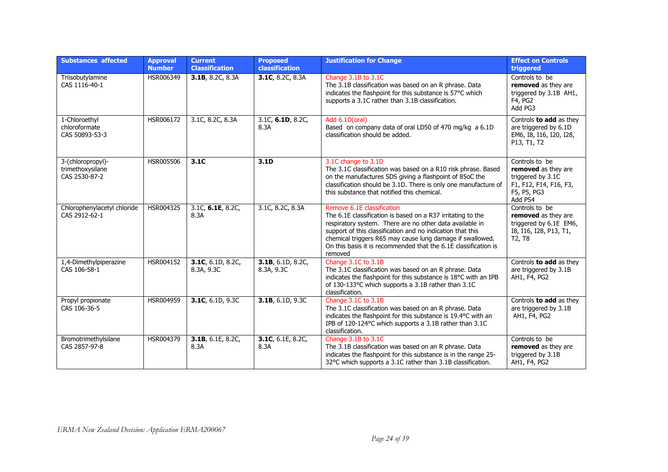| <b>Substances affected</b>                             | <b>Approval</b><br><b>Number</b> | <b>Current</b><br><b>Classification</b> | <b>Proposed</b><br>classification | <b>Justification for Change</b>                                                                                                                                                                                                                                                                                                                                | <b>Effect on Controls</b><br>triggered                                                                                       |
|--------------------------------------------------------|----------------------------------|-----------------------------------------|-----------------------------------|----------------------------------------------------------------------------------------------------------------------------------------------------------------------------------------------------------------------------------------------------------------------------------------------------------------------------------------------------------------|------------------------------------------------------------------------------------------------------------------------------|
| Triisobutylamine<br>CAS 1116-40-1                      | HSR006349                        | 3.1B, 8.2C, 8.3A                        | 3.1C, 8.2C, 8.3A                  | Change 3.1B to 3.1C<br>The 3.1B classification was based on an R phrase. Data<br>indicates the flashpoint for this substance is 57°C which<br>supports a 3.1C rather than 3.1B classification.                                                                                                                                                                 | Controls to be<br>removed as they are<br>triggered by 3.1B AH1,<br>F4, PG2<br>Add PG3                                        |
| 1-Chloroethyl<br>chloroformate<br>CAS 50893-53-3       | HSR006172                        | 3.1C, 8.2C, 8.3A                        | 3.1C, 6.1D, 8.2C,<br>8.3A         | Add 6.1D(oral)<br>Based on company data of oral LD50 of 470 mg/kg a 6.1D<br>classification should be added.                                                                                                                                                                                                                                                    | Controls to add as they<br>are triggered by 6.1D<br>EM6, I8, I16, I20, I28,<br>P13, T1, T2                                   |
| 3-(chloropropyl)-<br>trimethoxysilane<br>CAS 2530-87-2 | HSR005506                        | 3.1C                                    | 3.1D                              | 3.1C change to 3.1D<br>The 3.1C classification was based on a R10 risk phrase. Based<br>on the manufactures SDS giving a flashpoint of 85oC the<br>classification should be 3.1D. There is only one manufacture of<br>this substance that notified this chemical.                                                                                              | Controls to be<br>removed as they are<br>triggered by 3.1C<br>F1, F12, F14, F16, F3,<br>F5, P5, PG3<br>Add PS4               |
| Chlorophenylacetyl chloride<br>CAS 2912-62-1           | HSR004325                        | 3.1C, 6.1E, 8.2C,<br>8.3A               | 3.1C, 8.2C, 8.3A                  | Remove 6.1E classification<br>The 6.1E classification is based on a R37 irritating to the<br>respiratory system. There are no other data available in<br>support of this classification and no indication that this<br>chemical triggers R65 may cause lung damage if swallowed.<br>On this basis it is recommended that the 6.1E classification is<br>removed | Controls to be<br>removed as they are<br>triggered by 6.1E EM6,<br>I8, I16, I28, P13, T1,<br>T <sub>2</sub> , T <sub>8</sub> |
| 1,4-Dimethylpiperazine<br>CAS 106-58-1                 | HSR004152                        | 3.1C, $6.1D, 8.2C$<br>8.3A, 9.3C        | 3.1B, 6.1D, 8.2C,<br>8.3A, 9.3C   | Change 3.1C to 3.1B<br>The 3.1C classification was based on an R phrase. Data<br>indicates the flashpoint for this substance is 18°C with an IPB<br>of 130-133°C which supports a 3.1B rather than 3.1C<br>classification.                                                                                                                                     | Controls to add as they<br>are triggered by 3.1B<br>AH1, F4, PG2                                                             |
| Propyl propionate<br>CAS 106-36-5                      | HSR004959                        | 3.1C, 6.1D, 9.3C                        | 3.1B, 6.1D, 9.3C                  | Change 3.1C to 3.1B<br>The 3.1C classification was based on an R phrase. Data<br>indicates the flashpoint for this substance is 19.4°C with an<br>IPB of 120-124°C which supports a 3.1B rather than 3.1C<br>classification.                                                                                                                                   | Controls to add as they<br>are triggered by 3.1B<br>AH1, F4, PG2                                                             |
| Bromotrimethylsilane<br>CAS 2857-97-8                  | HSR004379                        | 3.1B, 6.1E, 8.2C,<br>8.3A               | 3.1C, 6.1E, 8.2C,<br>8.3A         | Change 3.1B to 3.1C<br>The 3.1B classification was based on an R phrase. Data<br>indicates the flashpoint for this substance is in the range 25-<br>32°C which supports a 3.1C rather than 3.1B classification.                                                                                                                                                | Controls to be<br>removed as they are<br>triggered by 3.1B<br>AH1, F4, PG2                                                   |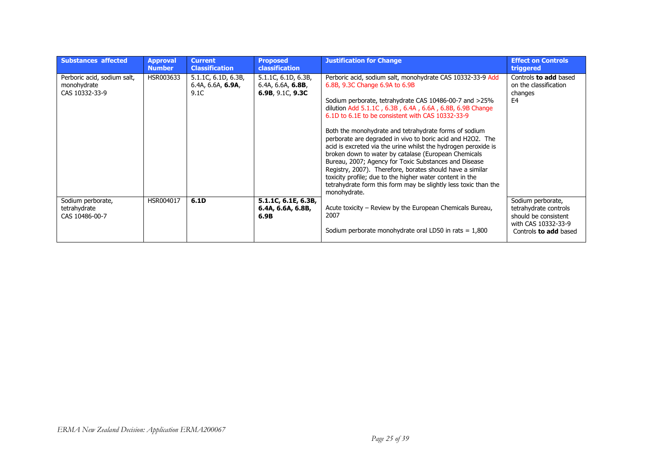| <b>Substances affected</b>                                   | <b>Approval</b><br><b>Number</b> | <b>Current</b><br><b>Classification</b>                   | <b>Proposed</b><br><b>classification</b>                        | <b>Justification for Change</b>                                                                                                                                                                                                                                                                                                                                                                                                                                                                                                                                                                                                                                                                                                                                                               | <b>Effect on Controls</b><br>triggered                                                                                    |
|--------------------------------------------------------------|----------------------------------|-----------------------------------------------------------|-----------------------------------------------------------------|-----------------------------------------------------------------------------------------------------------------------------------------------------------------------------------------------------------------------------------------------------------------------------------------------------------------------------------------------------------------------------------------------------------------------------------------------------------------------------------------------------------------------------------------------------------------------------------------------------------------------------------------------------------------------------------------------------------------------------------------------------------------------------------------------|---------------------------------------------------------------------------------------------------------------------------|
| Perboric acid, sodium salt,<br>monohydrate<br>CAS 10332-33-9 | HSR003633                        | $5.1.1C$ , 6.1D, 6.3B,<br>6.4A, $6.6A$ , $6.9A$ ,<br>9.1C | $5.1.1C$ , 6.1D, 6.3B,<br>6.4A, 6.6A, 6.8B,<br>6.9B, 9.1C, 9.3C | Perboric acid, sodium salt, monohydrate CAS 10332-33-9 Add<br>6.8B, 9.3C Change 6.9A to 6.9B<br>Sodium perborate, tetrahydrate CAS 10486-00-7 and >25%<br>dilution Add 5.1.1C, 6.3B, 6.4A, 6.6A, 6.8B, 6.9B Change<br>6.1D to 6.1E to be consistent with CAS 10332-33-9<br>Both the monohydrate and tetrahydrate forms of sodium<br>perborate are degraded in vivo to boric acid and H2O2. The<br>acid is excreted via the urine whilst the hydrogen peroxide is<br>broken down to water by catalase (European Chemicals<br>Bureau, 2007; Agency for Toxic Substances and Disease<br>Registry, 2007). Therefore, borates should have a similar<br>toxicity profile; due to the higher water content in the<br>tetrahydrate form this form may be slightly less toxic than the<br>monohydrate. | Controls to add based<br>on the classification<br>changes<br>E4                                                           |
| Sodium perborate,<br>tetrahydrate<br>CAS 10486-00-7          | HSR004017                        | 6.1D                                                      | 5.1.1C, 6.1E, 6.3B,<br>6.4A, 6.6A, 6.8B,<br>6.9B                | Acute toxicity – Review by the European Chemicals Bureau,<br>2007<br>Sodium perborate monohydrate oral LD50 in rats $= 1,800$                                                                                                                                                                                                                                                                                                                                                                                                                                                                                                                                                                                                                                                                 | Sodium perborate,<br>tetrahydrate controls<br>should be consistent<br>with CAS 10332-33-9<br>Controls <b>to add</b> based |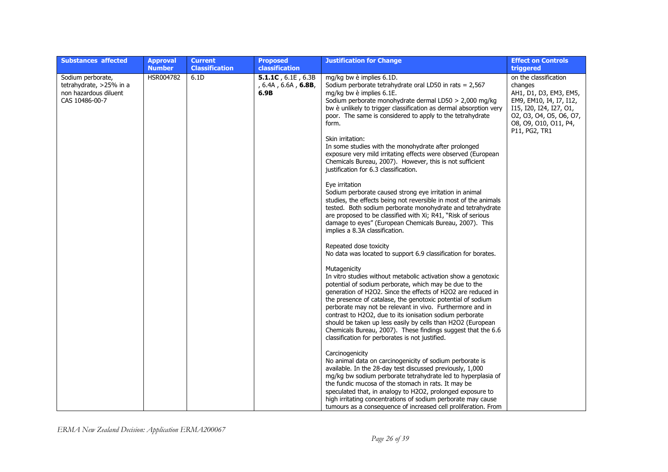| <b>Substances affected</b>                                                              | <b>Approval</b><br><b>Number</b> | <b>Current</b><br><b>Classification</b> | <b>Proposed</b><br>classification                                | <b>Justification for Change</b>                                                                                                                                                                                                                                                                                                                                                                                                                                                                                                                                                    | <b>Effect on Controls</b><br>triggered                                                                                                                                                |
|-----------------------------------------------------------------------------------------|----------------------------------|-----------------------------------------|------------------------------------------------------------------|------------------------------------------------------------------------------------------------------------------------------------------------------------------------------------------------------------------------------------------------------------------------------------------------------------------------------------------------------------------------------------------------------------------------------------------------------------------------------------------------------------------------------------------------------------------------------------|---------------------------------------------------------------------------------------------------------------------------------------------------------------------------------------|
| Sodium perborate,<br>tetrahydrate, >25% in a<br>non hazardous diluent<br>CAS 10486-00-7 | HSR004782                        | 6.1D                                    | 5.1.1C, $6.1E$ , $6.3B$<br>, 6.4A , 6.6A , <b>6.8B</b> ,<br>6.9B | mg/kg bw è implies 6.1D.<br>Sodium perborate tetrahydrate oral LD50 in rats = 2,567<br>mg/kg bw è implies 6.1E.<br>Sodium perborate monohydrate dermal LD50 > 2,000 mg/kg<br>bw è unlikely to trigger classification as dermal absorption very<br>poor. The same is considered to apply to the tetrahydrate<br>form.                                                                                                                                                                                                                                                               | on the classification<br>changes<br>AH1, D1, D3, EM3, EM5,<br>EM9, EM10, I4, I7, I12,<br>I15, I20, I24, I27, O1,<br>02, 03, 04, 05, 06, 07,<br>08, 09, 010, 011, P4,<br>P11, PG2, TR1 |
|                                                                                         |                                  |                                         |                                                                  | Skin irritation:<br>In some studies with the monohydrate after prolonged<br>exposure very mild irritating effects were observed (European<br>Chemicals Bureau, 2007). However, this is not sufficient<br>justification for 6.3 classification.                                                                                                                                                                                                                                                                                                                                     |                                                                                                                                                                                       |
|                                                                                         |                                  |                                         |                                                                  | Eye irritation<br>Sodium perborate caused strong eye irritation in animal<br>studies, the effects being not reversible in most of the animals<br>tested. Both sodium perborate monohydrate and tetrahydrate<br>are proposed to be classified with Xi; R41, "Risk of serious<br>damage to eyes" (European Chemicals Bureau, 2007). This<br>implies a 8.3A classification.                                                                                                                                                                                                           |                                                                                                                                                                                       |
|                                                                                         |                                  |                                         |                                                                  | Repeated dose toxicity<br>No data was located to support 6.9 classification for borates.                                                                                                                                                                                                                                                                                                                                                                                                                                                                                           |                                                                                                                                                                                       |
|                                                                                         |                                  |                                         |                                                                  | Mutagenicity<br>In vitro studies without metabolic activation show a genotoxic<br>potential of sodium perborate, which may be due to the<br>generation of H2O2. Since the effects of H2O2 are reduced in<br>the presence of catalase, the genotoxic potential of sodium<br>perborate may not be relevant in vivo. Furthermore and in<br>contrast to H2O2, due to its ionisation sodium perborate<br>should be taken up less easily by cells than H2O2 (European<br>Chemicals Bureau, 2007). These findings suggest that the 6.6<br>classification for perborates is not justified. |                                                                                                                                                                                       |
|                                                                                         |                                  |                                         |                                                                  | Carcinogenicity<br>No animal data on carcinogenicity of sodium perborate is<br>available. In the 28-day test discussed previously, 1,000<br>mg/kg bw sodium perborate tetrahydrate led to hyperplasia of<br>the fundic mucosa of the stomach in rats. It may be<br>speculated that, in analogy to H2O2, prolonged exposure to<br>high irritating concentrations of sodium perborate may cause<br>tumours as a consequence of increased cell proliferation. From                                                                                                                    |                                                                                                                                                                                       |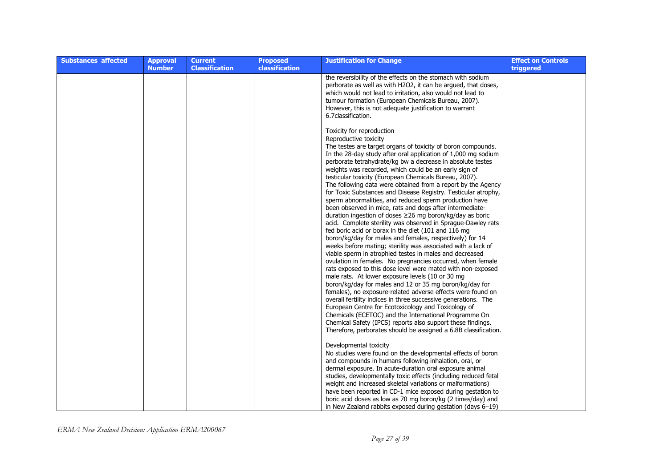| <b>Substances affected</b> | <b>Approval</b><br><b>Number</b> | <b>Current</b><br><b>Classification</b> | <b>Proposed</b><br><b>classification</b> | <b>Justification for Change</b>                                                                                                                                                                                                                                                                                                                                                                                                                                                                                                                                                                                                                                                                                                                                                                                                                                                                                                                                                                                                                                                                                                                                                                                                                                                                                                                                                                                                                                                                           | <b>Effect on Controls</b><br>triggered |
|----------------------------|----------------------------------|-----------------------------------------|------------------------------------------|-----------------------------------------------------------------------------------------------------------------------------------------------------------------------------------------------------------------------------------------------------------------------------------------------------------------------------------------------------------------------------------------------------------------------------------------------------------------------------------------------------------------------------------------------------------------------------------------------------------------------------------------------------------------------------------------------------------------------------------------------------------------------------------------------------------------------------------------------------------------------------------------------------------------------------------------------------------------------------------------------------------------------------------------------------------------------------------------------------------------------------------------------------------------------------------------------------------------------------------------------------------------------------------------------------------------------------------------------------------------------------------------------------------------------------------------------------------------------------------------------------------|----------------------------------------|
|                            |                                  |                                         |                                          | the reversibility of the effects on the stomach with sodium<br>perborate as well as with H2O2, it can be argued, that doses,<br>which would not lead to irritation, also would not lead to<br>tumour formation (European Chemicals Bureau, 2007).<br>However, this is not adequate justification to warrant<br>6.7 classification.                                                                                                                                                                                                                                                                                                                                                                                                                                                                                                                                                                                                                                                                                                                                                                                                                                                                                                                                                                                                                                                                                                                                                                        |                                        |
|                            |                                  |                                         |                                          | Toxicity for reproduction<br>Reproductive toxicity<br>The testes are target organs of toxicity of boron compounds.<br>In the 28-day study after oral application of 1,000 mg sodium<br>perborate tetrahydrate/kg bw a decrease in absolute testes<br>weights was recorded, which could be an early sign of<br>testicular toxicity (European Chemicals Bureau, 2007).<br>The following data were obtained from a report by the Agency<br>for Toxic Substances and Disease Registry. Testicular atrophy,<br>sperm abnormalities, and reduced sperm production have<br>been observed in mice, rats and dogs after intermediate-<br>duration ingestion of doses $\geq$ 26 mg boron/kg/day as boric<br>acid. Complete sterility was observed in Sprague-Dawley rats<br>fed boric acid or borax in the diet (101 and 116 mg<br>boron/kg/day for males and females, respectively) for 14<br>weeks before mating; sterility was associated with a lack of<br>viable sperm in atrophied testes in males and decreased<br>ovulation in females. No pregnancies occurred, when female<br>rats exposed to this dose level were mated with non-exposed<br>male rats. At lower exposure levels (10 or 30 mg<br>boron/kg/day for males and 12 or 35 mg boron/kg/day for<br>females), no exposure-related adverse effects were found on<br>overall fertility indices in three successive generations. The<br>European Centre for Ecotoxicology and Toxicology of<br>Chemicals (ECETOC) and the International Programme On |                                        |
|                            |                                  |                                         |                                          | Chemical Safety (IPCS) reports also support these findings.<br>Therefore, perborates should be assigned a 6.8B classification.<br>Developmental toxicity<br>No studies were found on the developmental effects of boron<br>and compounds in humans following inhalation, oral, or<br>dermal exposure. In acute-duration oral exposure animal<br>studies, developmentally toxic effects (including reduced fetal<br>weight and increased skeletal variations or malformations)<br>have been reported in CD-1 mice exposed during gestation to<br>boric acid doses as low as 70 mg boron/kg (2 times/day) and<br>in New Zealand rabbits exposed during gestation (days 6–19)                                                                                                                                                                                                                                                                                                                                                                                                                                                                                                                                                                                                                                                                                                                                                                                                                                |                                        |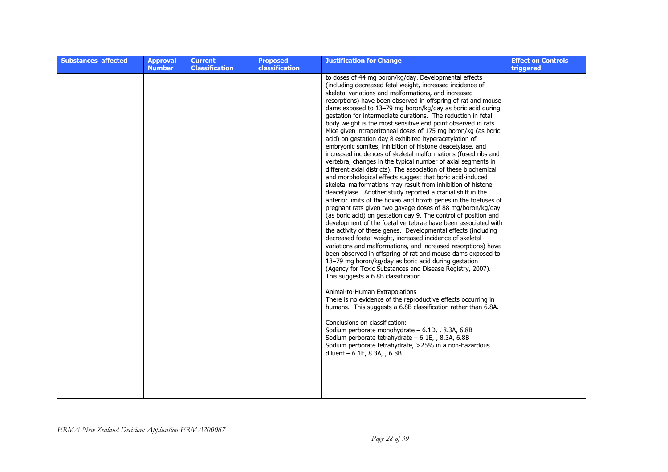| <b>Substances affected</b> | <b>Approval</b><br><b>Number</b> | <b>Current</b><br><b>Classification</b> | <b>Proposed</b><br>classification | <b>Justification for Change</b>                                                                                                                                                                                                                                                                                                                                                                                                                                                                                                                                                                                                                                                                                                                                                                                                                                                                                                                                                                                                                                                                                                                                                                                                                                                                                                                                                                                                                                                                                                                                                                                                                                                                                                                                                                                                                                                                                                                                                                                                                                                                                                               | <b>Effect on Controls</b><br>triggered |
|----------------------------|----------------------------------|-----------------------------------------|-----------------------------------|-----------------------------------------------------------------------------------------------------------------------------------------------------------------------------------------------------------------------------------------------------------------------------------------------------------------------------------------------------------------------------------------------------------------------------------------------------------------------------------------------------------------------------------------------------------------------------------------------------------------------------------------------------------------------------------------------------------------------------------------------------------------------------------------------------------------------------------------------------------------------------------------------------------------------------------------------------------------------------------------------------------------------------------------------------------------------------------------------------------------------------------------------------------------------------------------------------------------------------------------------------------------------------------------------------------------------------------------------------------------------------------------------------------------------------------------------------------------------------------------------------------------------------------------------------------------------------------------------------------------------------------------------------------------------------------------------------------------------------------------------------------------------------------------------------------------------------------------------------------------------------------------------------------------------------------------------------------------------------------------------------------------------------------------------------------------------------------------------------------------------------------------------|----------------------------------------|
|                            |                                  |                                         |                                   | to doses of 44 mg boron/kg/day. Developmental effects<br>(including decreased fetal weight, increased incidence of<br>skeletal variations and malformations, and increased<br>resorptions) have been observed in offspring of rat and mouse<br>dams exposed to 13-79 mg boron/kg/day as boric acid during<br>gestation for intermediate durations. The reduction in fetal<br>body weight is the most sensitive end point observed in rats.<br>Mice given intraperitoneal doses of 175 mg boron/kg (as boric<br>acid) on gestation day 8 exhibited hyperacetylation of<br>embryonic somites, inhibition of histone deacetylase, and<br>increased incidences of skeletal malformations (fused ribs and<br>vertebra, changes in the typical number of axial segments in<br>different axial districts). The association of these biochemical<br>and morphological effects suggest that boric acid-induced<br>skeletal malformations may result from inhibition of histone<br>deacetylase. Another study reported a cranial shift in the<br>anterior limits of the hoxa6 and hoxc6 genes in the foetuses of<br>pregnant rats given two gavage doses of 88 mg/boron/kg/day<br>(as boric acid) on gestation day 9. The control of position and<br>development of the foetal vertebrae have been associated with<br>the activity of these genes. Developmental effects (including<br>decreased foetal weight, increased incidence of skeletal<br>variations and malformations, and increased resorptions) have<br>been observed in offspring of rat and mouse dams exposed to<br>13–79 mg boron/kg/day as boric acid during gestation<br>(Agency for Toxic Substances and Disease Registry, 2007).<br>This suggests a 6.8B classification.<br>Animal-to-Human Extrapolations<br>There is no evidence of the reproductive effects occurring in<br>humans. This suggests a 6.8B classification rather than 6.8A.<br>Conclusions on classification:<br>Sodium perborate monohydrate - 6.1D, , 8.3A, 6.8B<br>Sodium perborate tetrahydrate - 6.1E, , 8.3A, 6.8B<br>Sodium perborate tetrahydrate, >25% in a non-hazardous<br>diluent - 6.1E, 8.3A, , 6.8B |                                        |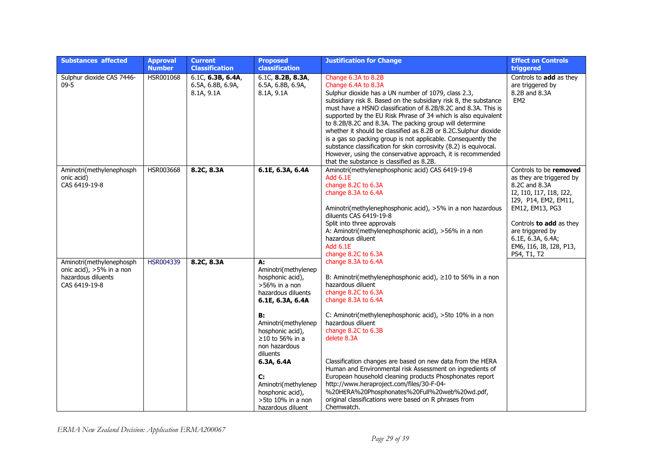| <b>Substances affected</b>                                                                  | <b>Approval</b><br><b>Number</b> | <b>Current</b><br><b>Classification</b>                 | <b>Proposed</b><br>classification                                                                                                                                                                                                                                                                                           | <b>Justification for Change</b>                                                                                                                                                                                                                                                                                                                                                                                                                                                                                                                                                                                                                                                           | <b>Effect on Controls</b><br>triggered                                                                                                                                                                                                                  |
|---------------------------------------------------------------------------------------------|----------------------------------|---------------------------------------------------------|-----------------------------------------------------------------------------------------------------------------------------------------------------------------------------------------------------------------------------------------------------------------------------------------------------------------------------|-------------------------------------------------------------------------------------------------------------------------------------------------------------------------------------------------------------------------------------------------------------------------------------------------------------------------------------------------------------------------------------------------------------------------------------------------------------------------------------------------------------------------------------------------------------------------------------------------------------------------------------------------------------------------------------------|---------------------------------------------------------------------------------------------------------------------------------------------------------------------------------------------------------------------------------------------------------|
| Sulphur dioxide CAS 7446-<br>$09 - 5$                                                       | HSR001068                        | $6.1C$ , 6.3B, 6.4A,<br>6.5A, 6.8B, 6.9A,<br>8.1A, 9.1A | 6.1C, 8.2B, 8.3A,<br>6.5A, 6.8B, 6.9A,<br>8.1A, 9.1A                                                                                                                                                                                                                                                                        | Change 6.3A to 8.2B<br>Change 6.4A to 8.3A<br>Sulphur dioxide has a UN number of 1079, class 2.3,<br>subsidiary risk 8. Based on the subsidiary risk 8, the substance<br>must have a HSNO classification of 8.2B/8.2C and 8.3A. This is<br>supported by the EU Risk Phrase of 34 which is also equivalent<br>to 8.2B/8.2C and 8.3A. The packing group will determine<br>whether it should be classified as 8.2B or 8.2C.Sulphur dioxide<br>is a gas so packing group is not applicable. Consequently the<br>substance classification for skin corrosivity (8.2) is equivocal.<br>However, using the conservative approach, it is recommended<br>that the substance is classified as 8.2B. | Controls to add as they<br>are triggered by<br>8.2B and 8.3A<br>EM <sub>2</sub>                                                                                                                                                                         |
| Aminotri(methylenephosph<br>onic acid)<br>CAS 6419-19-8                                     | HSR003668                        | 8.2C, 8.3A                                              | 6.1E, 6.3A, 6.4A                                                                                                                                                                                                                                                                                                            | Aminotri(methylenephosphonic acid) CAS 6419-19-8<br><b>Add 6.1E</b><br>change 8.2C to 6.3A<br>change 8.3A to 6.4A<br>Aminotri(methylenephosphonic acid), >5% in a non hazardous<br>diluents CAS 6419-19-8<br>Split into three approvals<br>A: Aminotri(methylenephosphonic acid), >56% in a non<br>hazardous diluent<br>Add 6.1E<br>change 8.2C to 6.3A                                                                                                                                                                                                                                                                                                                                   | Controls to be removed<br>as they are triggered by<br>8.2C and 8.3A<br>I2, I10, I17, I18, I22,<br>I29, P14, EM2, EM11,<br>EM12, EM13, PG3<br>Controls to add as they<br>are triggered by<br>6.1E, 6.3A, 6.4A;<br>EM6, I16, I8, I28, P13,<br>PS4, T1, T2 |
| Aminotri(methylenephosph<br>onic acid), >5% in a non<br>hazardous diluents<br>CAS 6419-19-8 | HSR004339                        | 8.2C, 8.3A                                              | А:<br>Aminotri(methylenep<br>hosphonic acid),<br>$>56\%$ in a non<br>hazardous diluents<br>6.1E, 6.3A, 6.4A<br>в:<br>Aminotri(methylenep<br>hosphonic acid),<br>$\geq$ 10 to 56% in a<br>non hazardous<br>diluents<br>6.3A, 6.4A<br>C:<br>Aminotri(methylenep<br>hosphonic acid),<br>>5to 10% in a non<br>hazardous diluent | change 8.3A to 6.4A<br>B: Aminotri(methylenephosphonic acid), $\geq$ 10 to 56% in a non<br>hazardous diluent<br>change 8.2C to 6.3A<br>change 8.3A to 6.4A<br>C: Aminotri(methylenephosphonic acid), >5to 10% in a non<br>hazardous diluent<br>change 8.2C to 6.3B<br>delete 8.3A<br>Classification changes are based on new data from the HERA<br>Human and Environmental risk Assessment on ingredients of<br>European household cleaning products Phosphonates report<br>http://www.heraproject.com/files/30-F-04-<br>%20HERA%20Phosphonates%20Full%20web%20wd.pdf,<br>original classifications were based on R phrases from<br>Chemwatch.                                             |                                                                                                                                                                                                                                                         |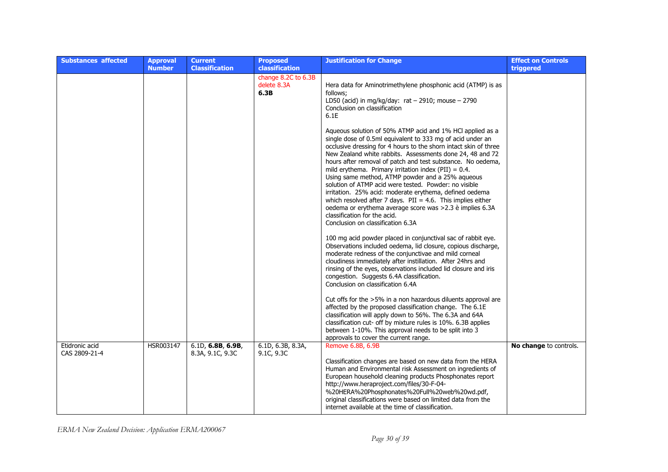| <b>Substances affected</b>      | <b>Approval</b><br><b>Number</b> | <b>Current</b><br><b>Classification</b> | <b>Proposed</b><br>classification          | <b>Justification for Change</b>                                                                                                                                                                                                                                                                                                                                                                                                                                                                                                                                                                                                                                                                                                                               | <b>Effect on Controls</b><br>triggered |
|---------------------------------|----------------------------------|-----------------------------------------|--------------------------------------------|---------------------------------------------------------------------------------------------------------------------------------------------------------------------------------------------------------------------------------------------------------------------------------------------------------------------------------------------------------------------------------------------------------------------------------------------------------------------------------------------------------------------------------------------------------------------------------------------------------------------------------------------------------------------------------------------------------------------------------------------------------------|----------------------------------------|
|                                 |                                  |                                         | change 8.2C to 6.3B<br>delete 8.3A<br>6.3B | Hera data for Aminotrimethylene phosphonic acid (ATMP) is as<br>follows;<br>LD50 (acid) in mg/kg/day: $rat - 2910$ ; mouse $- 2790$<br>Conclusion on classification<br>6.1E                                                                                                                                                                                                                                                                                                                                                                                                                                                                                                                                                                                   |                                        |
|                                 |                                  |                                         |                                            | Aqueous solution of 50% ATMP acid and 1% HCl applied as a<br>single dose of 0.5ml equivalent to 333 mg of acid under an<br>occlusive dressing for 4 hours to the shorn intact skin of three<br>New Zealand white rabbits. Assessments done 24, 48 and 72<br>hours after removal of patch and test substance. No oedema,<br>mild erythema. Primary irritation index (PII) = $0.4$ .<br>Using same method, ATMP powder and a 25% aqueous<br>solution of ATMP acid were tested. Powder: no visible<br>irritation. 25% acid: moderate erythema, defined oedema<br>which resolved after 7 days. $PII = 4.6$ . This implies either<br>oedema or erythema average score was >2.3 è implies 6.3A<br>classification for the acid.<br>Conclusion on classification 6.3A |                                        |
|                                 |                                  |                                         |                                            | 100 mg acid powder placed in conjunctival sac of rabbit eye.<br>Observations included oedema, lid closure, copious discharge,<br>moderate redness of the conjunctivae and mild corneal<br>cloudiness immediately after instillation. After 24hrs and<br>rinsing of the eyes, observations included lid closure and iris<br>congestion. Suggests 6.4A classification.<br>Conclusion on classification 6.4A                                                                                                                                                                                                                                                                                                                                                     |                                        |
|                                 |                                  |                                         |                                            | Cut offs for the >5% in a non hazardous diluents approval are<br>affected by the proposed classification change. The 6.1E<br>classification will apply down to 56%. The 6.3A and 64A<br>classification cut- off by mixture rules is 10%. 6.3B applies<br>between 1-10%. This approval needs to be split into 3<br>approvals to cover the current range.                                                                                                                                                                                                                                                                                                                                                                                                       |                                        |
| Etidronic acid<br>CAS 2809-21-4 | HSR003147                        | 6.1D, 6.8B, 6.9B,<br>8.3A, 9.1C, 9.3C   | 6.1D, 6.3B, 8.3A,<br>9.1C, 9.3C            | Remove 6.8B, 6.9B<br>Classification changes are based on new data from the HERA<br>Human and Environmental risk Assessment on ingredients of<br>European household cleaning products Phosphonates report<br>http://www.heraproject.com/files/30-F-04-<br>%20HERA%20Phosphonates%20Full%20web%20wd.pdf,<br>original classifications were based on limited data from the<br>internet available at the time of classification.                                                                                                                                                                                                                                                                                                                                   | No change to controls.                 |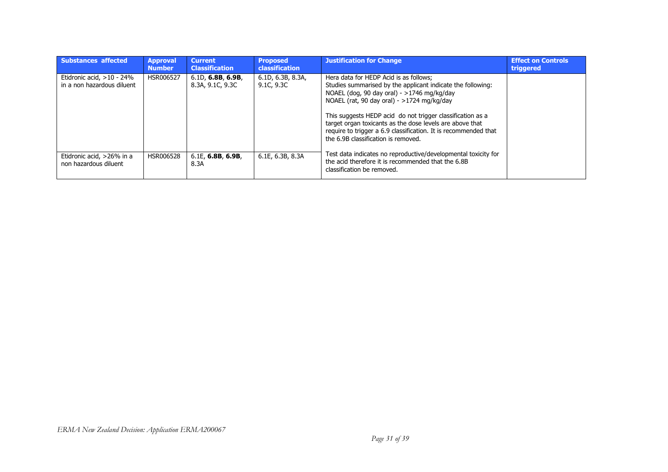| <b>Substances affected</b>                                 | <b>Approval</b><br><b>Number</b> | <b>Current</b><br><b>Classification</b> | <b>Proposed</b><br><b>classification</b> | <b>Justification for Change</b>                                                                                                                                                                                                                                                                                                                                                                                                         | <b>Effect on Controls</b><br>triggered |
|------------------------------------------------------------|----------------------------------|-----------------------------------------|------------------------------------------|-----------------------------------------------------------------------------------------------------------------------------------------------------------------------------------------------------------------------------------------------------------------------------------------------------------------------------------------------------------------------------------------------------------------------------------------|----------------------------------------|
| Etidronic acid, $>10 - 24\%$<br>in a non hazardous diluent | HSR006527                        | 6.1D, 6.8B, 6.9B,<br>8.3A, 9.1C, 9.3C   | 6.1D, 6.3B, 8.3A,<br>9.1C, 9.3C          | Hera data for HEDP Acid is as follows:<br>Studies summarised by the applicant indicate the following:<br>NOAEL (dog, 90 day oral) - $>1746$ mg/kg/day<br>NOAEL (rat, 90 day oral) - >1724 mg/kg/day<br>This suggests HEDP acid do not trigger classification as a<br>target organ toxicants as the dose levels are above that<br>require to trigger a 6.9 classification. It is recommended that<br>the 6.9B classification is removed. |                                        |
| Etidronic acid, >26% in a<br>non hazardous diluent         | HSR006528                        | $6.1E$ , 6.8B, 6.9B,<br>8.3A            | 6.1E, 6.3B, 8.3A                         | Test data indicates no reproductive/developmental toxicity for<br>the acid therefore it is recommended that the 6.8B<br>classification be removed.                                                                                                                                                                                                                                                                                      |                                        |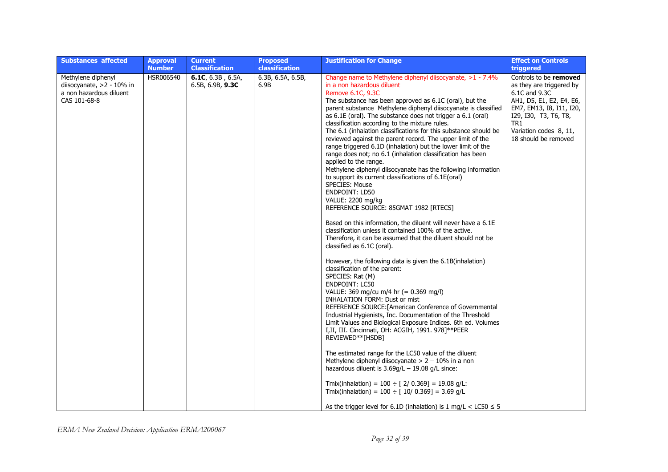| <b>Substances affected</b>                                                                 | <b>Approval</b><br><b>Number</b> | <b>Current</b><br><b>Classification</b>     | <b>Proposed</b><br>classification | <b>Justification for Change</b>                                                                                                                                                                                                                                                                                                                                                                                                                                                                                                                                                                                                                                                                                                                                                                                                                                                                                                                                                                                                                                                                                                                                                                                                                                                                                                                                                                                                                                                                                                                                                                                                                                                                                                                                                                                                                                                                                                                                             | <b>Effect on Controls</b><br>triggered                                                                                                                                                                        |
|--------------------------------------------------------------------------------------------|----------------------------------|---------------------------------------------|-----------------------------------|-----------------------------------------------------------------------------------------------------------------------------------------------------------------------------------------------------------------------------------------------------------------------------------------------------------------------------------------------------------------------------------------------------------------------------------------------------------------------------------------------------------------------------------------------------------------------------------------------------------------------------------------------------------------------------------------------------------------------------------------------------------------------------------------------------------------------------------------------------------------------------------------------------------------------------------------------------------------------------------------------------------------------------------------------------------------------------------------------------------------------------------------------------------------------------------------------------------------------------------------------------------------------------------------------------------------------------------------------------------------------------------------------------------------------------------------------------------------------------------------------------------------------------------------------------------------------------------------------------------------------------------------------------------------------------------------------------------------------------------------------------------------------------------------------------------------------------------------------------------------------------------------------------------------------------------------------------------------------------|---------------------------------------------------------------------------------------------------------------------------------------------------------------------------------------------------------------|
| Methylene diphenyl<br>diisocyanate, >2 - 10% in<br>a non hazardous diluent<br>CAS 101-68-8 | HSR006540                        | 6.1C, $6.3B$ , $6.5A$ ,<br>6.5B, 6.9B, 9.3C | 6.3B, 6.5A, 6.5B,<br>6.9B         | Change name to Methylene diphenyl diisocyanate, >1 - 7.4%<br>in a non hazardous diluent<br>Remove 6.1C, 9.3C<br>The substance has been approved as 6.1C (oral), but the<br>parent substance Methylene diphenyl diisocyanate is classified<br>as 6.1E (oral). The substance does not trigger a 6.1 (oral)<br>classification according to the mixture rules.<br>The 6.1 (inhalation classifications for this substance should be<br>reviewed against the parent record. The upper limit of the<br>range triggered 6.1D (inhalation) but the lower limit of the<br>range does not; no 6.1 (inhalation classification has been<br>applied to the range.<br>Methylene diphenyl diisocyanate has the following information<br>to support its current classifications of 6.1E(oral)<br>SPECIES: Mouse<br><b>ENDPOINT: LD50</b><br>VALUE: 2200 mg/kg<br>REFERENCE SOURCE: 85GMAT 1982 [RTECS]<br>Based on this information, the diluent will never have a 6.1E<br>classification unless it contained 100% of the active.<br>Therefore, it can be assumed that the diluent should not be<br>classified as 6.1C (oral).<br>However, the following data is given the 6.1B (inhalation)<br>classification of the parent:<br>SPECIES: Rat (M)<br><b>ENDPOINT: LC50</b><br>VALUE: 369 mg/cu m/4 hr (= 0.369 mg/l)<br><b>INHALATION FORM: Dust or mist</b><br>REFERENCE SOURCE: [American Conference of Governmental<br>Industrial Hygienists, Inc. Documentation of the Threshold<br>Limit Values and Biological Exposure Indices. 6th ed. Volumes<br>I,II, III. Cincinnati, OH: ACGIH, 1991. 978]**PEER<br>REVIEWED**[HSDB]<br>The estimated range for the LC50 value of the diluent<br>Methylene diphenyl diisocyanate $> 2 - 10\%$ in a non<br>hazardous diluent is $3.69q/L - 19.08 q/L$ since:<br>Tmix(inhalation) = $100 \div [2/0.369] = 19.08$ g/L:<br>Tmix(inhalation) = $100 \div [10/0.369] = 3.69$ g/L<br>As the trigger level for 6.1D (inhalation) is 1 mg/L < LC50 $\le$ 5 | Controls to be removed<br>as they are triggered by<br>6.1C and 9.3C<br>AH1, D5, E1, E2, E4, E6,<br>EM7, EM13, I8, I11, I20,<br>I29, I30, T3, T6, T8,<br>TR1<br>Variation codes 8, 11,<br>18 should be removed |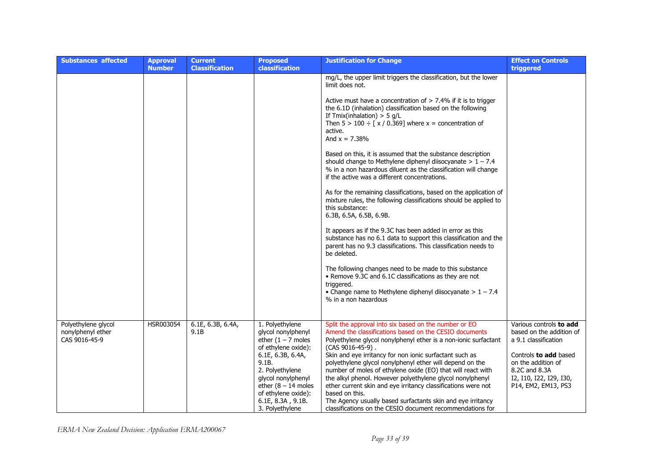| <b>Substances affected</b>                                | <b>Approval</b><br><b>Number</b> | <b>Current</b><br><b>Classification</b> | <b>Proposed</b><br><b>classification</b>                                                                                                                                                                                                            | <b>Justification for Change</b>                                                                                                                                                                                                                                                                                                                                                                                                                                                                                                                                                                                                                                                                                                                                                                                                                                                                                                                                                                                                                                                                                                                                                                                                                | <b>Effect on Controls</b><br>triggered                                                                                                                                                        |
|-----------------------------------------------------------|----------------------------------|-----------------------------------------|-----------------------------------------------------------------------------------------------------------------------------------------------------------------------------------------------------------------------------------------------------|------------------------------------------------------------------------------------------------------------------------------------------------------------------------------------------------------------------------------------------------------------------------------------------------------------------------------------------------------------------------------------------------------------------------------------------------------------------------------------------------------------------------------------------------------------------------------------------------------------------------------------------------------------------------------------------------------------------------------------------------------------------------------------------------------------------------------------------------------------------------------------------------------------------------------------------------------------------------------------------------------------------------------------------------------------------------------------------------------------------------------------------------------------------------------------------------------------------------------------------------|-----------------------------------------------------------------------------------------------------------------------------------------------------------------------------------------------|
|                                                           |                                  |                                         |                                                                                                                                                                                                                                                     | mg/L, the upper limit triggers the classification, but the lower<br>limit does not.<br>Active must have a concentration of $> 7.4\%$ if it is to trigger<br>the 6.1D (inhalation) classification based on the following<br>If $Tmix(inhalation) > 5 g/L$<br>Then $5 > 100 \div [x / 0.369]$ where $x =$ concentration of<br>active.<br>And $x = 7.38%$<br>Based on this, it is assumed that the substance description<br>should change to Methylene diphenyl diisocyanate $> 1 - 7.4$<br>% in a non hazardous diluent as the classification will change<br>if the active was a different concentrations.<br>As for the remaining classifications, based on the application of<br>mixture rules, the following classifications should be applied to<br>this substance:<br>6.3B, 6.5A, 6.5B, 6.9B.<br>It appears as if the 9.3C has been added in error as this<br>substance has no 6.1 data to support this classification and the<br>parent has no 9.3 classifications. This classification needs to<br>be deleted.<br>The following changes need to be made to this substance<br>• Remove 9.3C and 6.1C classifications as they are not<br>triggered.<br>• Change name to Methylene diphenyl diisocyanate $> 1 - 7.4$<br>% in a non hazardous |                                                                                                                                                                                               |
| Polyethylene glycol<br>nonylphenyl ether<br>CAS 9016-45-9 | HSR003054                        | 6.1E, 6.3B, 6.4A,<br>9.1B               | 1. Polyethylene<br>glycol nonylphenyl<br>ether $(1 - 7$ moles<br>of ethylene oxide):<br>6.1E, 6.3B, 6.4A,<br>9.1B.<br>2. Polyethylene<br>glycol nonylphenyl<br>ether $(8 - 14$ moles<br>of ethylene oxide):<br>6.1E, 8.3A, 9.1B.<br>3. Polyethylene | Split the approval into six based on the number or EO<br>Amend the classifications based on the CESIO documents<br>Polyethylene glycol nonylphenyl ether is a non-ionic surfactant<br>$(CAS 9016-45-9)$ .<br>Skin and eye irritancy for non ionic surfactant such as<br>polyethylene glycol nonylphenyl ether will depend on the<br>number of moles of ethylene oxide (EO) that will react with<br>the alkyl phenol. However polyethylene glycol nonylphenyl<br>ether current skin and eye irritancy classifications were not<br>based on this.<br>The Agency usually based surfactants skin and eye irritancy<br>classifications on the CESIO document recommendations for                                                                                                                                                                                                                                                                                                                                                                                                                                                                                                                                                                    | Various controls to add<br>based on the addition of<br>a 9.1 classification<br>Controls to add based<br>on the addition of<br>8.2C and 8.3A<br>I2, I10, I22, I29, I30,<br>P14, EM2, EM13, PS3 |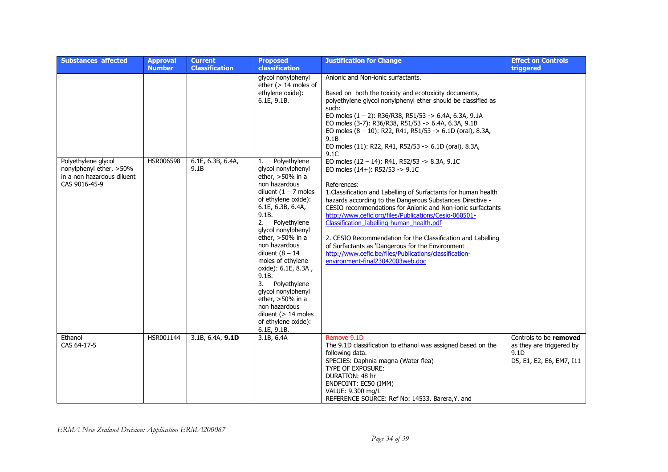| <b>Substances affected</b>                                             | <b>Approval</b><br><b>Number</b> | <b>Current</b><br><b>Classification</b> | <b>Proposed</b><br>classification                                                                                                                                                                                                                                                                                                                                                                                                                        | <b>Justification for Change</b>                                                                                                                                                                                                                                                                                                                                                                                                                                                                                                                                                                                             | <b>Effect on Controls</b><br>triggered                                                 |
|------------------------------------------------------------------------|----------------------------------|-----------------------------------------|----------------------------------------------------------------------------------------------------------------------------------------------------------------------------------------------------------------------------------------------------------------------------------------------------------------------------------------------------------------------------------------------------------------------------------------------------------|-----------------------------------------------------------------------------------------------------------------------------------------------------------------------------------------------------------------------------------------------------------------------------------------------------------------------------------------------------------------------------------------------------------------------------------------------------------------------------------------------------------------------------------------------------------------------------------------------------------------------------|----------------------------------------------------------------------------------------|
| Polyethylene glycol                                                    | HSR006598                        | 6.1E, 6.3B, 6.4A,                       | glycol nonylphenyl<br>ether $(> 14$ moles of<br>ethylene oxide):<br>6.1E, 9.1B.<br>Polyethylene<br>1.                                                                                                                                                                                                                                                                                                                                                    | Anionic and Non-ionic surfactants.<br>Based on both the toxicity and ecotoxicity documents,<br>polyethylene glycol nonylphenyl ether should be classified as<br>such:<br>EO moles $(1 - 2)$ : R36/R38, R51/53 -> 6.4A, 6.3A, 9.1A<br>EO moles (3-7): R36/R38, R51/53 -> 6.4A, 6.3A, 9.1B<br>EO moles $(8 - 10)$ : R22, R41, R51/53 -> 6.1D (oral), 8.3A,<br>9.1B<br>EO moles (11): R22, R41, R52/53 -> 6.1D (oral), 8.3A,<br>9.1C                                                                                                                                                                                           |                                                                                        |
| nonylphenyl ether, >50%<br>in a non hazardous diluent<br>CAS 9016-45-9 |                                  | 9.1B                                    | glycol nonylphenyl<br>ether, $>50\%$ in a<br>non hazardous<br>diluent $(1 - 7$ moles<br>of ethylene oxide):<br>6.1E, 6.3B, 6.4A,<br>9.1B.<br>2.<br>Polyethylene<br>glycol nonylphenyl<br>ether, $>50\%$ in a<br>non hazardous<br>diluent $(8 - 14)$<br>moles of ethylene<br>oxide): 6.1E, 8.3A,<br>9.1B.<br>3.<br>Polyethylene<br>glycol nonylphenyl<br>ether, >50% in a<br>non hazardous<br>diluent $(> 14$ moles<br>of ethylene oxide):<br>6.1E, 9.1B. | EO moles $(12 - 14)$ : R41, R52/53 -> 8.3A, 9.1C<br>EO moles $(14+)$ : R52/53 -> 9.1C<br>References:<br>1. Classification and Labelling of Surfactants for human health<br>hazards according to the Dangerous Substances Directive -<br>CESIO recommendations for Anionic and Non-ionic surfactants<br>http://www.cefic.org/files/Publications/Cesio-060501-<br>Classification_labelling-human_health.pdf<br>2. CESIO Recommendation for the Classification and Labelling<br>of Surfactants as 'Dangerous for the Environment<br>http://www.cefic.be/files/Publications/classification-<br>environment-final23042003web.doc |                                                                                        |
| Ethanol<br>CAS 64-17-5                                                 | HSR001144                        | 3.1B, 6.4A, 9.1D                        | 3.1B, 6.4A                                                                                                                                                                                                                                                                                                                                                                                                                                               | Remove 9.1D<br>The 9.1D classification to ethanol was assigned based on the<br>following data.<br>SPECIES: Daphnia magna (Water flea)<br>TYPE OF EXPOSURE:<br>DURATION: 48 hr<br>ENDPOINT: EC50 (IMM)<br>VALUE: 9.300 mg/L<br>REFERENCE SOURCE: Ref No: 14533. Barera, Y. and                                                                                                                                                                                                                                                                                                                                               | Controls to be removed<br>as they are triggered by<br>9.1D<br>D5, E1, E2, E6, EM7, I11 |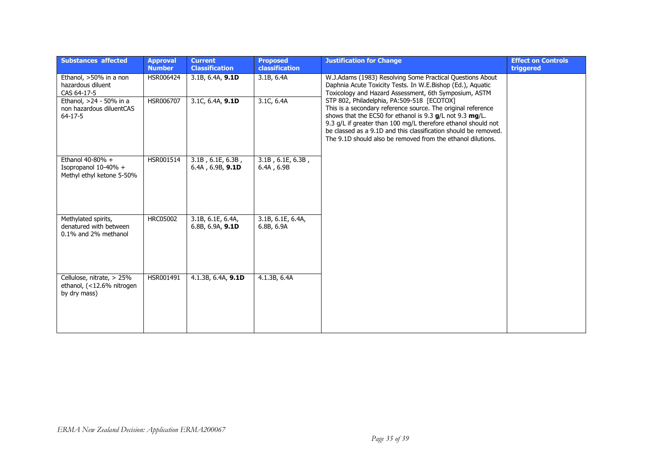| <b>Substances affected</b>                                                | <b>Approval</b><br><b>Number</b> | <b>Current</b><br><b>Classification</b>  | <b>Proposed</b><br><b>classification</b> | <b>Justification for Change</b>                                                                                                                                                                                                                                                                                                                                             | <b>Effect on Controls</b><br>triggered |
|---------------------------------------------------------------------------|----------------------------------|------------------------------------------|------------------------------------------|-----------------------------------------------------------------------------------------------------------------------------------------------------------------------------------------------------------------------------------------------------------------------------------------------------------------------------------------------------------------------------|----------------------------------------|
| Ethanol, >50% in a non<br>hazardous diluent<br>CAS 64-17-5                | HSR006424                        | 3.1B, 6.4A, 9.1D                         | 3.1B, 6.4A                               | W.J.Adams (1983) Resolving Some Practical Questions About<br>Daphnia Acute Toxicity Tests. In W.E.Bishop (Ed.), Aquatic<br>Toxicology and Hazard Assessment, 6th Symposium, ASTM                                                                                                                                                                                            |                                        |
| Ethanol, >24 - 50% in a<br>non hazardous diluentCAS<br>$64-17-5$          | HSR006707                        | 3.1C, 6.4A, 9.1D                         | 3.1C, 6.4A                               | STP 802, Philadelphia, PA:509-518 [ECOTOX]<br>This is a secondary reference source. The original reference<br>shows that the EC50 for ethanol is 9.3 $q/L$ not 9.3 mg/L.<br>9.3 g/L if greater than 100 mg/L therefore ethanol should not<br>be classed as a 9.1D and this classification should be removed.<br>The 9.1D should also be removed from the ethanol dilutions. |                                        |
| Ethanol $40-80%$ +<br>Isopropanol $10-40%$ +<br>Methyl ethyl ketone 5-50% | HSR001514                        | $3.1B$ , 6.1E, 6.3B,<br>6.4A, 6.9B, 9.1D | $3.1B$ , 6.1E, 6.3B,<br>6.4A, 6.9B       |                                                                                                                                                                                                                                                                                                                                                                             |                                        |
| Methylated spirits,<br>denatured with between<br>0.1% and 2% methanol     | <b>HRC05002</b>                  | 3.1B, 6.1E, 6.4A,<br>6.8B, 6.9A, 9.1D    | 3.1B, 6.1E, 6.4A,<br>6.8B, 6.9A          |                                                                                                                                                                                                                                                                                                                                                                             |                                        |
| Cellulose, nitrate, > 25%<br>ethanol, (<12.6% nitrogen<br>by dry mass)    | HSR001491                        | 4.1.3B, 6.4A, 9.1D                       | 4.1.3B, 6.4A                             |                                                                                                                                                                                                                                                                                                                                                                             |                                        |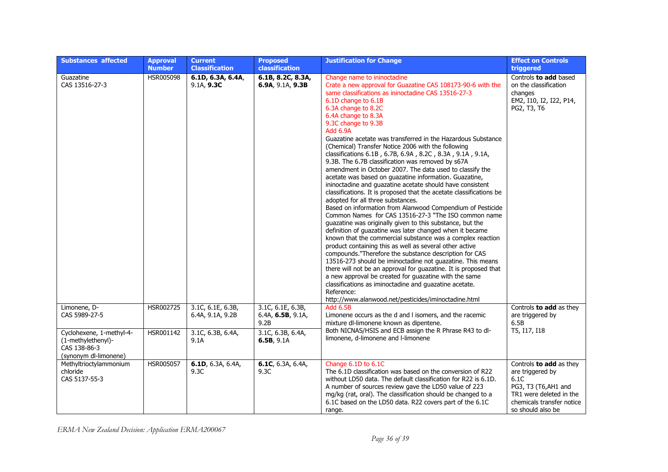| <b>Substances affected</b>                                                              | <b>Approval</b><br><b>Number</b> | <b>Current</b><br><b>Classification</b> | <b>Proposed</b><br>classification                    | <b>Justification for Change</b>                                                                                                                                                                                                                                                                                                                                                                                                                                                                                                                                                                                                                                                                                                                                                                                                                                                                                                                                                                                                                                                                                                                                                                                                                                                                                                                                                                                                                                                                                                                                      | <b>Effect on Controls</b><br>triggered                                                                                                                  |
|-----------------------------------------------------------------------------------------|----------------------------------|-----------------------------------------|------------------------------------------------------|----------------------------------------------------------------------------------------------------------------------------------------------------------------------------------------------------------------------------------------------------------------------------------------------------------------------------------------------------------------------------------------------------------------------------------------------------------------------------------------------------------------------------------------------------------------------------------------------------------------------------------------------------------------------------------------------------------------------------------------------------------------------------------------------------------------------------------------------------------------------------------------------------------------------------------------------------------------------------------------------------------------------------------------------------------------------------------------------------------------------------------------------------------------------------------------------------------------------------------------------------------------------------------------------------------------------------------------------------------------------------------------------------------------------------------------------------------------------------------------------------------------------------------------------------------------------|---------------------------------------------------------------------------------------------------------------------------------------------------------|
| Guazatine<br>CAS 13516-27-3                                                             | HSR005098                        | 6.1D, 6.3A, 6.4A,<br>9.1A, 9.3C         | 6.1B, 8.2C, 8.3A,<br>6.9A, 9.1A, 9.3B                | Change name to ininoctadine<br>Crate a new approval for Guazatine CAS 108173-90-6 with the<br>same classifications as ininoctadine CAS 13516-27-3<br>6.1D change to 6.1B<br>6.3A change to 8.2C<br>6.4A change to 8.3A<br>9.3C change to 9.3B<br><b>Add 6.9A</b><br>Guazatine acetate was transferred in the Hazardous Substance<br>(Chemical) Transfer Notice 2006 with the following<br>classifications 6.1B, 6.7B, 6.9A, 8.2C, 8.3A, 9.1A, 9.1A,<br>9.3B. The 6.7B classification was removed by s67A<br>amendment in October 2007. The data used to classify the<br>acetate was based on quazatine information. Guazatine,<br>ininoctadine and guazatine acetate should have consistent<br>classifications. It is proposed that the acetate classifications be<br>adopted for all three substances.<br>Based on information from Alanwood Compendium of Pesticide<br>Common Names for CAS 13516-27-3 "The ISO common name<br>guazatine was originally given to this substance, but the<br>definition of guazatine was later changed when it became<br>known that the commercial substance was a complex reaction<br>product containing this as well as several other active<br>compounds."Therefore the substance description for CAS<br>13516-273 should be iminoctadine not guazatine. This means<br>there will not be an approval for guazatine. It is proposed that<br>a new approval be created for guazatine with the same<br>classifications as iminoctadine and guazatine acetate.<br>Reference:<br>http://www.alanwood.net/pesticides/iminoctadine.html | Controls to add based<br>on the classification<br>changes<br>EM2, I10, I2, I22, P14,<br>PG2, T3, T6                                                     |
| Limonene, D-<br>CAS 5989-27-5                                                           | HSR002725                        | 3.1C, 6.1E, 6.3B,<br>6.4A, 9.1A, 9.2B   | 3.1C, 6.1E, 6.3B,<br>6.4A, $6.5B$ , $9.1A$ ,<br>9.2B | <b>Add 6.5B</b><br>Limonene occurs as the d and I isomers, and the racemic<br>mixture dl-limonene known as dipentene.                                                                                                                                                                                                                                                                                                                                                                                                                                                                                                                                                                                                                                                                                                                                                                                                                                                                                                                                                                                                                                                                                                                                                                                                                                                                                                                                                                                                                                                | Controls to add as they<br>are triggered by<br>6.5B                                                                                                     |
| Cyclohexene, 1-methyl-4-<br>(1-methylethenyl)-<br>CAS 138-86-3<br>(synonym dl-limonene) | HSR001142                        | 3.1C, 6.3B, 6.4A,<br>9.1A               | 3.1C, 6.3B, 6.4A,<br>6.5B, 9.1A                      | Both NICNAS/HSIS and ECB assign the R Phrase R43 to dl-<br>limonene, d-limonene and l-limonene                                                                                                                                                                                                                                                                                                                                                                                                                                                                                                                                                                                                                                                                                                                                                                                                                                                                                                                                                                                                                                                                                                                                                                                                                                                                                                                                                                                                                                                                       | T5, I17, I18                                                                                                                                            |
| Methyltrioctylammonium<br>chloride<br>CAS 5137-55-3                                     | HSR005057                        | 6.1D, 6.3A, 6.4A,<br>9.3C               | 6.1C, 6.3A, 6.4A,<br>9.3C                            | Change 6.1D to 6.1C<br>The 6.1D classification was based on the conversion of R22<br>without LD50 data. The default classification for R22 is 6.1D.<br>A number of sources review gave the LD50 value of 223<br>mg/kg (rat, oral). The classification should be changed to a<br>6.1C based on the LD50 data. R22 covers part of the 6.1C<br>range.                                                                                                                                                                                                                                                                                                                                                                                                                                                                                                                                                                                                                                                                                                                                                                                                                                                                                                                                                                                                                                                                                                                                                                                                                   | Controls to add as they<br>are triggered by<br>6.1C<br>PG3, T3 (T6,AH1 and<br>TR1 were deleted in the<br>chemicals transfer notice<br>so should also be |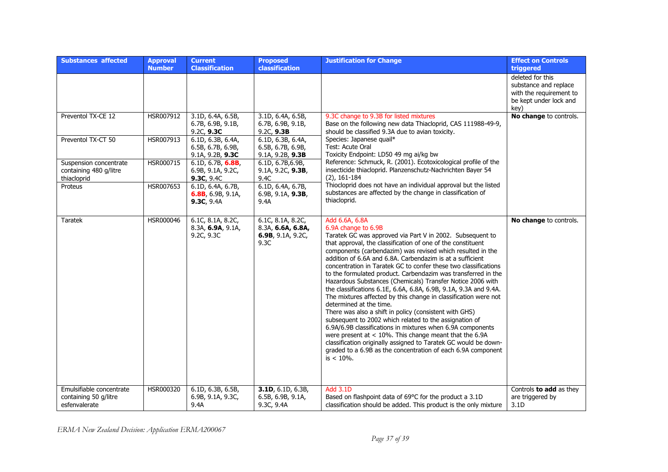| <b>Substances affected</b>                                         | <b>Approval</b><br><b>Number</b> | <b>Current</b><br><b>Classification</b>                    | <b>Proposed</b><br>classification                                   | <b>Justification for Change</b>                                                                                                                                                                                                                                                                                                                                                                                                                                                                                                                                                                                                                                                                                                                                                                                                                                                                                                                                                                                                                                      | <b>Effect on Controls</b><br>triggered                                                                 |
|--------------------------------------------------------------------|----------------------------------|------------------------------------------------------------|---------------------------------------------------------------------|----------------------------------------------------------------------------------------------------------------------------------------------------------------------------------------------------------------------------------------------------------------------------------------------------------------------------------------------------------------------------------------------------------------------------------------------------------------------------------------------------------------------------------------------------------------------------------------------------------------------------------------------------------------------------------------------------------------------------------------------------------------------------------------------------------------------------------------------------------------------------------------------------------------------------------------------------------------------------------------------------------------------------------------------------------------------|--------------------------------------------------------------------------------------------------------|
|                                                                    |                                  |                                                            |                                                                     |                                                                                                                                                                                                                                                                                                                                                                                                                                                                                                                                                                                                                                                                                                                                                                                                                                                                                                                                                                                                                                                                      | deleted for this<br>substance and replace<br>with the requirement to<br>be kept under lock and<br>key) |
| Preventol TX-CE 12                                                 | HSR007912                        | 3.1D, 6.4A, 6.5B,<br>6.7B, 6.9B, 9.1B,<br>9.2C, 9.3C       | 3.1D, 6.4A, 6.5B,<br>6.7B, 6.9B, 9.1B,<br>9.2C, 9.3B                | 9.3C change to 9.3B for listed mixtures<br>Base on the following new data Thiacloprid, CAS 111988-49-9,<br>should be classified 9.3A due to avian toxicity.                                                                                                                                                                                                                                                                                                                                                                                                                                                                                                                                                                                                                                                                                                                                                                                                                                                                                                          | No change to controls.                                                                                 |
| Preventol TX-CT 50                                                 | HSR007913                        | 6.1D, 6.3B, 6.4A,<br>6.5B, 6.7B, 6.9B,<br>9.1A, 9.2B, 9.3C | 6.1D, 6.3B, 6.4A,<br>6.5B, 6.7B, 6.9B,<br>9.1A, 9.2B, 9.3B          | Species: Japanese quail*<br>Test: Acute Oral<br>Toxicity Endpoint: LD50 49 mg ai/kg bw                                                                                                                                                                                                                                                                                                                                                                                                                                                                                                                                                                                                                                                                                                                                                                                                                                                                                                                                                                               |                                                                                                        |
| Suspension concentrate<br>containing 480 g/litre<br>thiacloprid    | HSR000715                        | 6.1D, 6.7B, 6.8B,<br>6.9B, 9.1A, 9.2C,<br>9.3C, 9.4C       | 6.1D, 6.7B, 6.9B,<br>9.1A, 9.2C, 9.3B,<br>9.4C                      | Reference: Schmuck, R. (2001). Ecotoxicological profile of the<br>insecticide thiacloprid. Planzenschutz-Nachrichten Bayer 54<br>$(2)$ , 161-184                                                                                                                                                                                                                                                                                                                                                                                                                                                                                                                                                                                                                                                                                                                                                                                                                                                                                                                     |                                                                                                        |
| Proteus                                                            | HSR007653                        | 6.1D, 6.4A, 6.7B,<br>6.8B, 6.9B, 9.1A,<br>9.3C, 9.4A       | 6.1D, 6.4A, 6.7B,<br>6.9B, 9.1A, $9.3B$ ,<br>9.4A                   | Thiocloprid does not have an individual approval but the listed<br>substances are affected by the change in classification of<br>thiacloprid.                                                                                                                                                                                                                                                                                                                                                                                                                                                                                                                                                                                                                                                                                                                                                                                                                                                                                                                        |                                                                                                        |
| <b>Taratek</b>                                                     | HSR000046                        | 6.1C, 8.1A, 8.2C,<br>8.3A, 6.9A, 9.1A,<br>9.2C, 9.3C       | 6.1C, 8.1A, 8.2C,<br>8.3A, 6.6A, 6.8A,<br>6.9B, 9.1A, 9.2C,<br>9.3C | Add 6.6A, 6.8A<br>6.9A change to 6.9B<br>Taratek GC was approved via Part V in 2002. Subsequent to<br>that approval, the classification of one of the constituent<br>components (carbendazim) was revised which resulted in the<br>addition of 6.6A and 6.8A. Carbendazim is at a sufficient<br>concentration in Taratek GC to confer these two classifications<br>to the formulated product. Carbendazim was transferred in the<br>Hazardous Substances (Chemicals) Transfer Notice 2006 with<br>the classifications 6.1E, 6.6A, 6.8A, 6.9B, 9.1A, 9.3A and 9.4A.<br>The mixtures affected by this change in classification were not<br>determined at the time.<br>There was also a shift in policy (consistent with GHS)<br>subsequent to 2002 which related to the assignation of<br>6.9A/6.9B classifications in mixtures when 6.9A components<br>were present at $< 10\%$ . This change meant that the 6.9A<br>classification originally assigned to Taratek GC would be down-<br>graded to a 6.9B as the concentration of each 6.9A component<br>is $< 10\%$ . | No change to controls.                                                                                 |
| Emulsifiable concentrate<br>containing 50 g/litre<br>esfenvalerate | HSR000320                        | 6.1D, 6.3B, 6.5B,<br>6.9B, 9.1A, 9.3C,<br>9.4A             | 3.1D, 6.1D, 6.3B,<br>6.5B, 6.9B, 9.1A,<br>9.3C, 9.4A                | <b>Add 3.1D</b><br>Based on flashpoint data of 69°C for the product a 3.1D<br>classification should be added. This product is the only mixture                                                                                                                                                                                                                                                                                                                                                                                                                                                                                                                                                                                                                                                                                                                                                                                                                                                                                                                       | Controls to add as they<br>are triggered by<br>3.1D                                                    |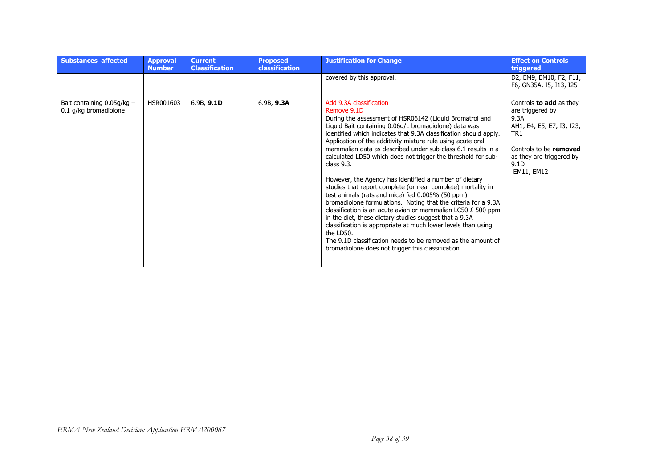| <b>Substances affected</b>                            | <b>Approval</b><br><b>Number</b> | <b>Current</b><br><b>Classification</b> | <b>Proposed</b><br><b>classification</b> | <b>Justification for Change</b>                                                                                                                                                                                                                                                                                                                                                                                                                                                                                                                                                                                                                                                                                                                                                                                                                                                                                                                                                                                               | <b>Effect on Controls</b><br>triggered                                                                                                                                                 |
|-------------------------------------------------------|----------------------------------|-----------------------------------------|------------------------------------------|-------------------------------------------------------------------------------------------------------------------------------------------------------------------------------------------------------------------------------------------------------------------------------------------------------------------------------------------------------------------------------------------------------------------------------------------------------------------------------------------------------------------------------------------------------------------------------------------------------------------------------------------------------------------------------------------------------------------------------------------------------------------------------------------------------------------------------------------------------------------------------------------------------------------------------------------------------------------------------------------------------------------------------|----------------------------------------------------------------------------------------------------------------------------------------------------------------------------------------|
|                                                       |                                  |                                         |                                          | covered by this approval.                                                                                                                                                                                                                                                                                                                                                                                                                                                                                                                                                                                                                                                                                                                                                                                                                                                                                                                                                                                                     | D2, EM9, EM10, F2, F11,<br>F6, GN35A, I5, I13, I25                                                                                                                                     |
| Bait containing $0.05q/kg -$<br>0.1 g/kg bromadiolone | HSR001603                        | 6.9B, 9.1D                              | 6.9B, 9.3A                               | Add 9.3A classification<br>Remove 9.1D<br>During the assessment of HSR06142 (Liquid Bromatrol and<br>Liquid Bait containing 0.06g/L bromadiolone) data was<br>identified which indicates that 9.3A classification should apply.<br>Application of the additivity mixture rule using acute oral<br>mammalian data as described under sub-class 6.1 results in a<br>calculated LD50 which does not trigger the threshold for sub-<br>class $9.3$ .<br>However, the Agency has identified a number of dietary<br>studies that report complete (or near complete) mortality in<br>test animals (rats and mice) fed 0.005% (50 ppm)<br>bromadiolone formulations. Noting that the criteria for a 9.3A<br>classification is an acute avian or mammalian LC50 £ 500 ppm<br>in the diet, these dietary studies suggest that a 9.3A<br>classification is appropriate at much lower levels than using<br>the LD50.<br>The 9.1D classification needs to be removed as the amount of<br>bromadiolone does not trigger this classification | Controls <b>to add</b> as they<br>are triggered by<br>9.3A<br>AH1, E4, E5, E7, I3, I23,<br>TR <sub>1</sub><br>Controls to be removed<br>as they are triggered by<br>9.1D<br>EM11, EM12 |